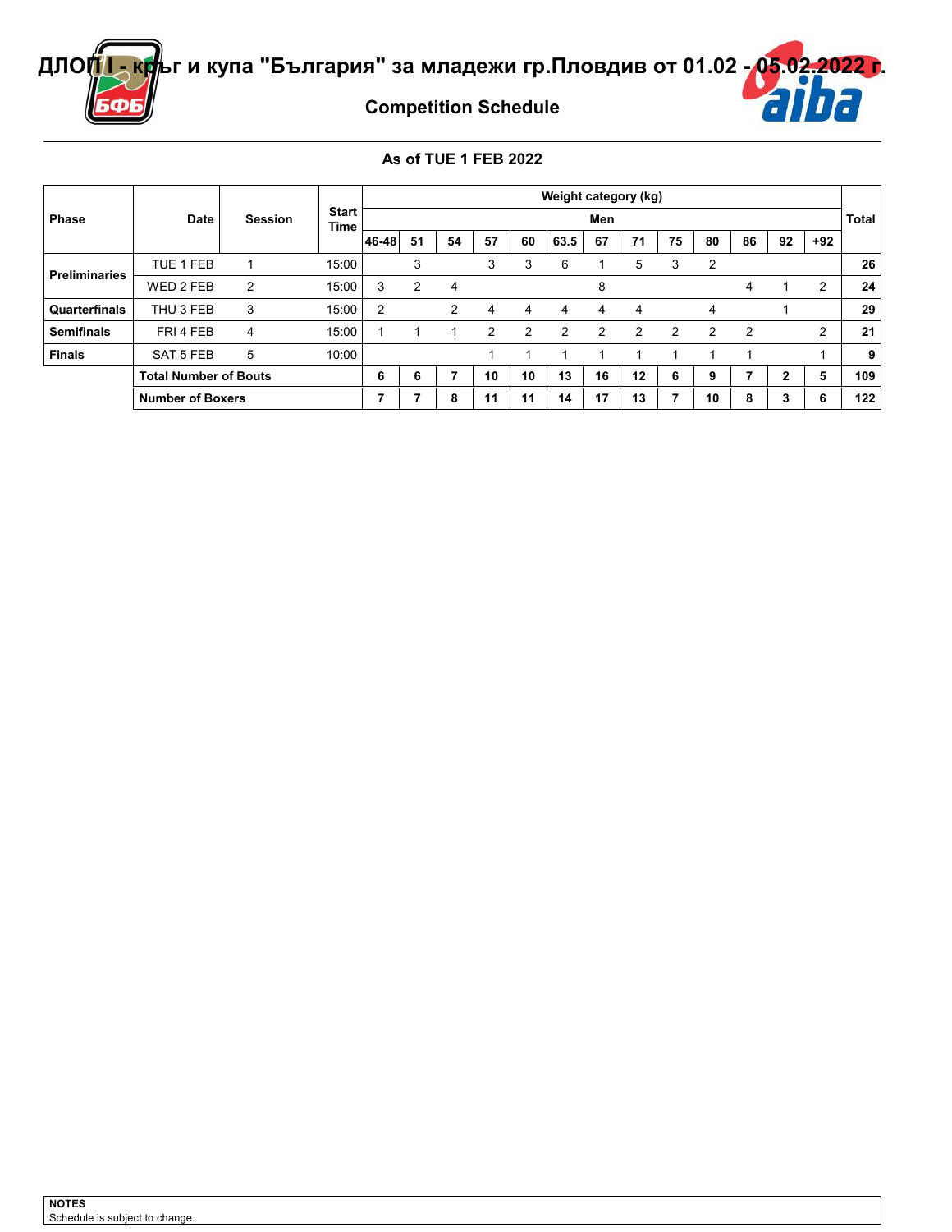**ДЛОП I - кръг и купа "България" за младежи гр.Пловдив от 01.02 - 05.02.2022 г.**



**Competition Schedule**

# **As of TUE 1 FEB 2022**

|                      |                              |                |                             |       |    |    |               |               | Weight category (kg) |               |               |               |                |               |    |       |              |
|----------------------|------------------------------|----------------|-----------------------------|-------|----|----|---------------|---------------|----------------------|---------------|---------------|---------------|----------------|---------------|----|-------|--------------|
| <b>Phase</b>         | <b>Date</b>                  | <b>Session</b> | <b>Start</b><br><b>Time</b> |       |    |    |               |               |                      | Men           |               |               |                |               |    |       | <b>Total</b> |
|                      |                              |                |                             | 46-48 | 51 | 54 | 57            | 60            | 63.5                 | 67            | 71            | 75            | 80             | 86            | 92 | $+92$ |              |
| <b>Preliminaries</b> | TUE 1 FEB                    |                | 15:00                       |       | 3  |    | 3             | 3             | 6                    |               | 5             | 3             | $\overline{2}$ |               |    |       | 26           |
|                      | WED 2 FEB                    | 2              | 15:00                       | 3     | 2  | 4  |               |               |                      | 8             |               |               |                | 4             |    | 2     | 24           |
| Quarterfinals        | THU 3 FEB                    | 3              | 15:00                       | 2     |    | 2  | 4             | Δ             | 4                    | 4             | 4             |               | 4              |               |    |       | 29           |
| <b>Semifinals</b>    | FRI 4 FEB                    | 4              | 15:00                       |       |    |    | $\mathcal{P}$ | $\mathcal{P}$ | $\overline{2}$       | $\mathcal{P}$ | $\mathcal{P}$ | $\mathcal{P}$ | $\mathcal{P}$  | $\mathcal{P}$ |    | 2     | 21           |
| <b>Finals</b>        | SAT 5 FEB                    | 5              | 10:00                       |       |    |    |               |               |                      |               |               |               |                |               |    |       | 9            |
|                      | <b>Total Number of Bouts</b> |                | 6                           | 6     |    | 10 | 10            | 13            | 16                   | 12            | 6             | 9             |                | $\mathbf{2}$  | 5  | 109   |              |
|                      | <b>Number of Boxers</b>      |                |                             | ⇁     |    | 8  | 11            | 11            | 14                   | 17            | 13            |               | 10             | 8             | 3  | 6     | 122          |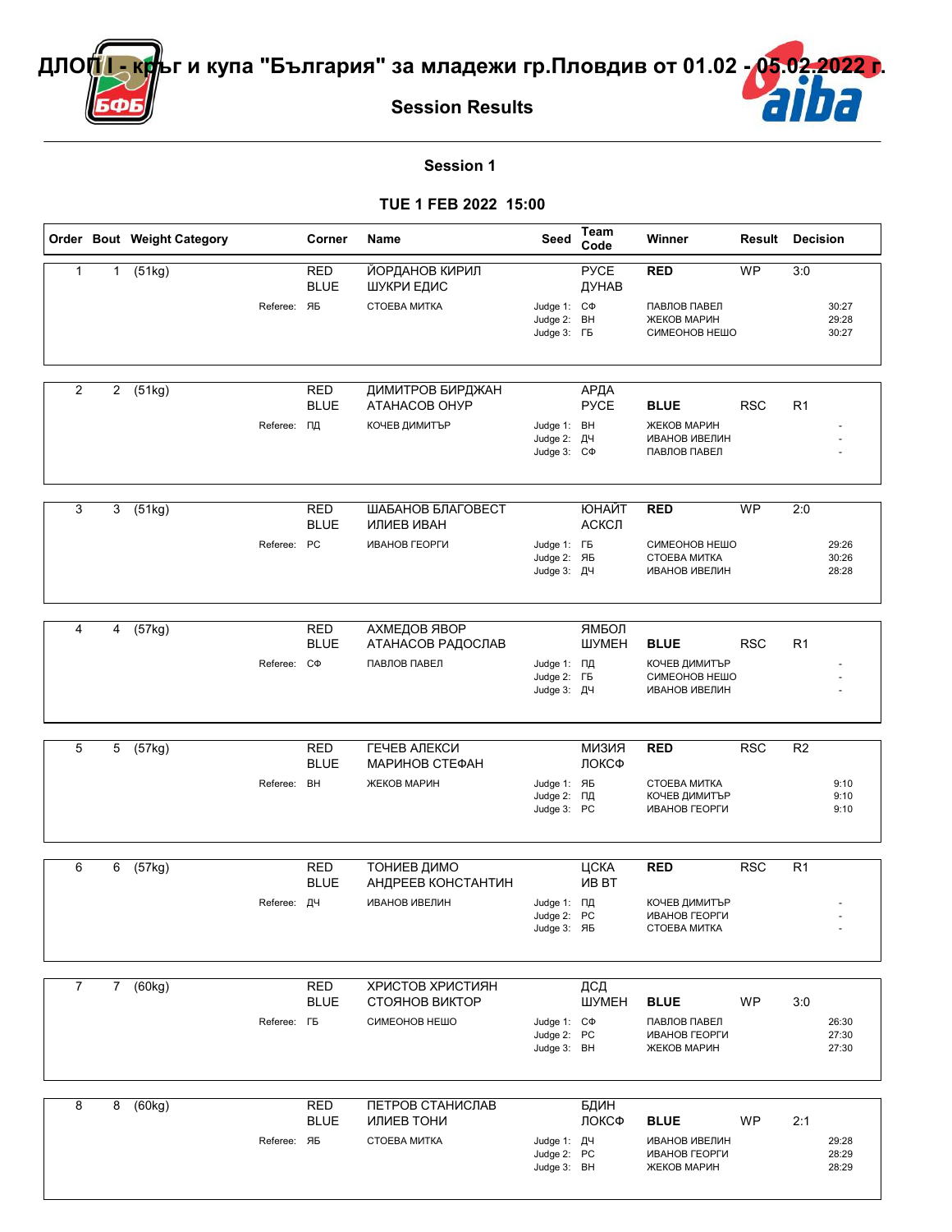

|                |             | Order Bout Weight Category |                    | Corner                    | Name                                  | Seed                                            | Team<br>Code          | Winner                                                       | Result     | <b>Decision</b> |                         |
|----------------|-------------|----------------------------|--------------------|---------------------------|---------------------------------------|-------------------------------------------------|-----------------------|--------------------------------------------------------------|------------|-----------------|-------------------------|
| $\mathbf{1}$   | 1           | (51kg)                     |                    | RED<br><b>BLUE</b>        | ЙОРДАНОВ КИРИЛ<br>ШУКРИ ЕДИС          |                                                 | <b>PYCE</b><br>ДУНАВ  | <b>RED</b>                                                   | <b>WP</b>  | 3:0             |                         |
|                |             |                            | Referee: ЯБ        |                           | СТОЕВА МИТКА                          | Judge 1: C $\Phi$<br>Judge 2: BH<br>Judge 3: FB |                       | ПАВЛОВ ПАВЕЛ<br>ЖЕКОВ МАРИН<br>СИМЕОНОВ НЕШО                 |            |                 | 30:27<br>29:28<br>30:27 |
| $\overline{2}$ | $2^{\circ}$ | (51kg)                     |                    | <b>RED</b>                | ДИМИТРОВ БИРДЖАН                      |                                                 | АРДА                  |                                                              |            |                 |                         |
|                |             |                            | Referee: ПД        | <b>BLUE</b>               | <b>ATAHACOB OHYP</b><br>КОЧЕВ ДИМИТЪР | Judge 1: BH                                     | <b>PYCE</b>           | <b>BLUE</b><br>ЖЕКОВ МАРИН                                   | <b>RSC</b> | R <sub>1</sub>  |                         |
|                |             |                            |                    |                           |                                       | Judge 2: ДЧ<br>Judge 3: C $\Phi$                |                       | ИВАНОВ ИВЕЛИН<br>ПАВЛОВ ПАВЕЛ                                |            |                 |                         |
| 3              | 3           | (51kg)                     |                    | RED                       | ШАБАНОВ БЛАГОВЕСТ                     |                                                 | <b>ЮНАЙТ</b>          | <b>RED</b>                                                   | <b>WP</b>  | 2:0             |                         |
|                |             |                            | Referee:           | <b>BLUE</b><br>PC         | ИЛИЕВ ИВАН<br>ИВАНОВ ГЕОРГИ           | Judge 1: FB                                     | АСКСЛ                 | СИМЕОНОВ НЕШО                                                |            |                 | 29:26                   |
|                |             |                            |                    |                           |                                       | Judge 2: ЯБ<br>Judge 3: ДЧ                      |                       | CTOEBA MUTKA<br><b>ИВАНОВ ИВЕЛИН</b>                         |            |                 | 30:26<br>28:28          |
| 4              | 4           | (57kg)                     |                    | <b>RED</b>                | <b>АХМЕДОВ ЯВОР</b>                   |                                                 | ЯМБОЛ                 |                                                              |            |                 |                         |
|                |             |                            | Referee: C $\Phi$  | <b>BLUE</b>               | АТАНАСОВ РАДОСЛАВ<br>ПАВЛОВ ПАВЕЛ     |                                                 | ШУМЕН                 | <b>BLUE</b>                                                  | <b>RSC</b> | R <sub>1</sub>  |                         |
|                |             |                            |                    |                           |                                       | Judge 1: ПД<br>Judge 2: FB<br>Judge 3: ДЧ       |                       | КОЧЕВ ДИМИТЪР<br>СИМЕОНОВ НЕШО<br><b>ИВАНОВ ИВЕЛИН</b>       |            |                 |                         |
| 5              | 5           | (57kg)                     |                    | <b>RED</b><br><b>BLUE</b> | ГЕЧЕВ АЛЕКСИ<br>МАРИНОВ СТЕФАН        |                                                 | МИЗИЯ<br>ЛОКСФ        | <b>RED</b>                                                   | <b>RSC</b> | R <sub>2</sub>  |                         |
|                |             |                            | Referee: BH        |                           | ЖЕКОВ МАРИН                           | Judge 1: ЯБ<br>Judge 2: ПД<br>Judge 3: PC       |                       | СТОЕВА МИТКА<br>КОЧЕВ ДИМИТЪР<br>ИВАНОВ ГЕОРГИ               |            |                 | 9:10<br>9:10<br>9:10    |
| 6              | 6           | (57kg)                     |                    | <b>RED</b><br><b>BLUE</b> | ТОНИЕВ ДИМО                           |                                                 | ЦСКА<br><b>VIB BT</b> | <b>RED</b>                                                   | <b>RSC</b> | R <sub>1</sub>  |                         |
|                |             |                            | Referee: ДЧ        |                           | АНДРЕЕВ КОНСТАНТИН<br>ИВАНОВ ИВЕЛИН   | Judge 1: ПД                                     |                       | КОЧЕВ ДИМИТЪР                                                |            |                 |                         |
|                |             |                            |                    |                           |                                       | Judge 2: PC<br>Judge 3: ЯБ                      |                       | ИВАНОВ ГЕОРГИ<br>CTOEBA MUTKA                                |            |                 |                         |
| $\overline{7}$ |             | 7 (60kg)                   |                    | <b>RED</b><br><b>BLUE</b> | ХРИСТОВ ХРИСТИЯН<br>СТОЯНОВ ВИКТОР    |                                                 | ДСД<br>ШУМЕН          | <b>BLUE</b>                                                  | <b>WP</b>  | 3:0             |                         |
|                |             |                            | Referee: <b>FB</b> |                           | СИМЕОНОВ НЕШО                         | Judge 1: C $\Phi$<br>Judge 2: PC<br>Judge 3: BH |                       | ПАВЛОВ ПАВЕЛ<br>ИВАНОВ ГЕОРГИ<br>ЖЕКОВ МАРИН                 |            |                 | 26:30<br>27:30<br>27:30 |
| 8              | 8           | (60kg)                     |                    | <b>RED</b>                | ПЕТРОВ СТАНИСЛАВ                      |                                                 | БДИН                  |                                                              | <b>WP</b>  |                 |                         |
|                |             |                            | Referee: ЯБ        | <b>BLUE</b>               | ИЛИЕВ ТОНИ<br>CTOEBA MUTKA            | Judge 1: ДЧ<br>Judge 2: PC<br>Judge 3: BH       | ЛОКСФ                 | <b>BLUE</b><br>ИВАНОВ ИВЕЛИН<br>ИВАНОВ ГЕОРГИ<br>ЖЕКОВ МАРИН |            | 2:1             | 29:28<br>28:29<br>28:29 |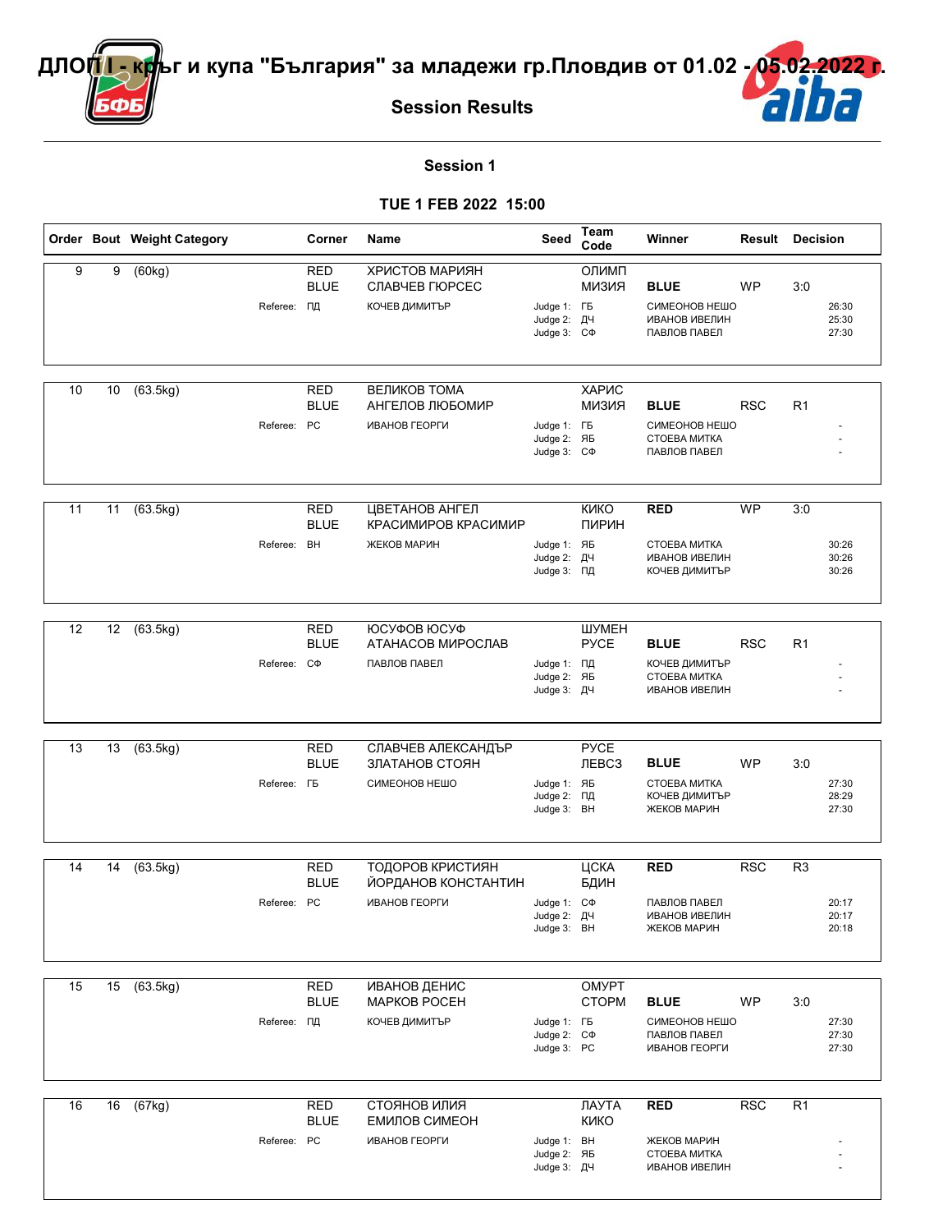

|    |    | Order Bout Weight Category |                     | Corner                    | Name                                                     | Seed                                                   | Team<br>Code                 | Winner                                                               | <b>Result Decision</b> |                |                         |
|----|----|----------------------------|---------------------|---------------------------|----------------------------------------------------------|--------------------------------------------------------|------------------------------|----------------------------------------------------------------------|------------------------|----------------|-------------------------|
| 9  | 9  | (60kg)                     | Referee:            | RED<br><b>BLUE</b><br>ПД  | ХРИСТОВ МАРИЯН<br>СЛАВЧЕВ ГЮРСЕС<br>КОЧЕВ ДИМИТЪР        | Judge 1: FB<br>Judge 2: ДЧ<br>Judge 3: C $\Phi$        | ОЛИМП<br><b>КИЗИЯ</b>        | <b>BLUE</b><br>СИМЕОНОВ НЕШО<br><b>ИВАНОВ ИВЕЛИН</b><br>ПАВЛОВ ПАВЕЛ | <b>WP</b>              | 3:0            | 26:30<br>25:30<br>27:30 |
| 10 | 10 | (63.5kg)                   | Referee: PC         | <b>RED</b><br><b>BLUE</b> | ВЕЛИКОВ ТОМА<br>АНГЕЛОВ ЛЮБОМИР<br>ИВАНОВ ГЕОРГИ         | Judge 1: FB<br>Judge 2: ЯБ<br>Judge 3: C $\Phi$        | ХАРИС<br><b>КИЗИЯ</b>        | <b>BLUE</b><br>СИМЕОНОВ НЕШО<br>CTOEBA MUTKA<br>ПАВЛОВ ПАВЕЛ         | <b>RSC</b>             | R <sub>1</sub> |                         |
| 11 | 11 | (63.5kg)                   | Referee: BH         | <b>RED</b><br><b>BLUE</b> | ЦВЕТАНОВ АНГЕЛ<br>КРАСИМИРОВ КРАСИМИР<br>ЖЕКОВ МАРИН     | Judge 1: ЯБ<br>Judge 2: ДЧ<br>Judge 3: ПД              | <b>KNKO</b><br>ПИРИН         | <b>RED</b><br>CTOEBA MUTKA<br><b>ИВАНОВ ИВЕЛИН</b><br>КОЧЕВ ДИМИТЪР  | <b>WP</b>              | 3:0            | 30:26<br>30:26<br>30:26 |
| 12 | 12 | (63.5kg)                   | Referee: C $\Phi$   | <b>RED</b><br><b>BLUE</b> | ЮСУФОВ ЮСУФ<br>АТАНАСОВ МИРОСЛАВ<br>ПАВЛОВ ПАВЕЛ         | Judge 1: ПД<br>Judge 2: ЯБ<br>Judge 3: ДЧ              | ШУМЕН<br><b>PYCE</b>         | <b>BLUE</b><br>КОЧЕВ ДИМИТЪР<br>CTOEBA MUTKA<br><b>ИВАНОВ ИВЕЛИН</b> | <b>RSC</b>             | R <sub>1</sub> |                         |
| 13 | 13 | (63.5kg)                   | Referee: <b>F</b> B | <b>RED</b><br><b>BLUE</b> | СЛАВЧЕВ АЛЕКСАНДЪР<br>ЗЛАТАНОВ СТОЯН<br>СИМЕОНОВ НЕШО    | Judge 1: ЯБ<br>Judge 2: ПД<br>Judge 3: BH              | <b>PYCE</b><br>Л <b>ЕВСЗ</b> | <b>BLUE</b><br>CTOEBA MUTKA<br>КОЧЕВ ДИМИТЪР<br>ЖЕКОВ МАРИН          | <b>WP</b>              | 3:0            | 27:30<br>28:29<br>27:30 |
| 14 | 14 | (63.5kg)                   | Referee: PC         | <b>RED</b><br><b>BLUE</b> | ТОДОРОВ КРИСТИЯН<br>ЙОРДАНОВ КОНСТАНТИН<br>ИВАНОВ ГЕОРГИ | Judge 1: C $\Phi$<br>Judge $2:$ $\mu$ 4<br>Judge 3: BH | ЦСКА<br>БДИН                 | <b>RED</b><br>ПАВЛОВ ПАВЕЛ<br>ИВАНОВ ИВЕЛИН<br>ЖЕКОВ МАРИН           | <b>RSC</b>             | R <sub>3</sub> | 20:17<br>20:17<br>20:18 |
| 15 | 15 | (63.5kg)                   | Referee: ПД         | <b>RED</b><br><b>BLUE</b> | <b>ИВАНОВ ДЕНИС</b><br>МАРКОВ РОСЕН<br>КОЧЕВ ДИМИТЪР     | Judge 1: FB<br>Judge 2: C $\Phi$<br>Judge 3: PC        | <b>OMYPT</b><br><b>CTOPM</b> | <b>BLUE</b><br>СИМЕОНОВ НЕШО<br>ПАВЛОВ ПАВЕЛ<br>ИВАНОВ ГЕОРГИ        | WP                     | 3:0            | 27:30<br>27:30<br>27:30 |
| 16 | 16 | (67kg)                     | Referee: PC         | <b>RED</b><br><b>BLUE</b> | СТОЯНОВ ИЛИЯ<br>ЕМИЛОВ СИМЕОН<br>ИВАНОВ ГЕОРГИ           | Judge 1: BH<br>Judge 2: ЯБ<br>Judge 3: ДЧ              | ЛАУТА<br><b>KNKO</b>         | <b>RED</b><br>ЖЕКОВ МАРИН<br>CTOEBA MUTKA<br><b>ИВАНОВ ИВЕЛИН</b>    | <b>RSC</b>             | R <sub>1</sub> |                         |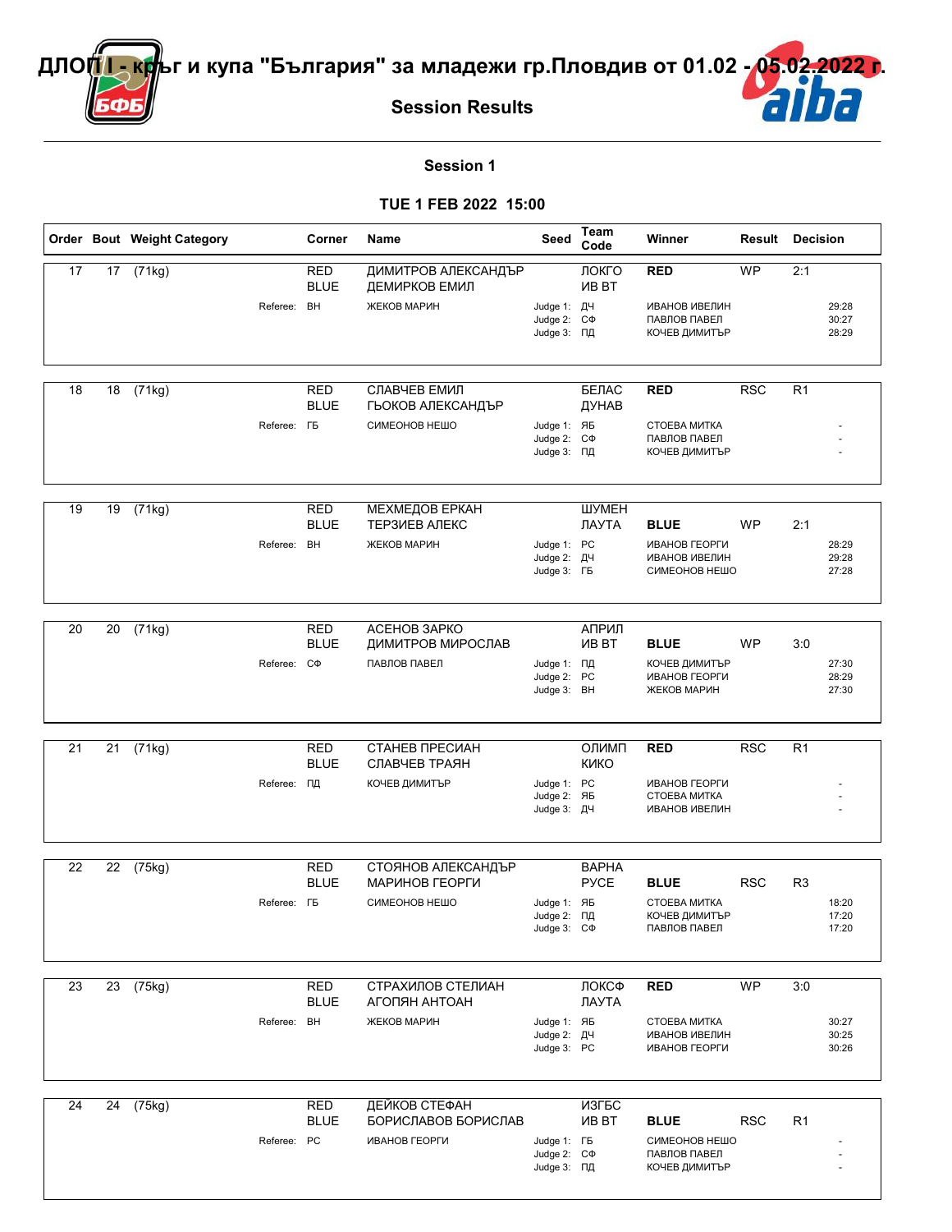

|    |    | Order Bout Weight Category |                     | Corner                    | Name                                 | Seed                                            | Team<br>Code           | Winner                                                 | Result     | <b>Decision</b> |                         |
|----|----|----------------------------|---------------------|---------------------------|--------------------------------------|-------------------------------------------------|------------------------|--------------------------------------------------------|------------|-----------------|-------------------------|
| 17 |    | 17 (71kg)                  |                     | <b>RED</b><br><b>BLUE</b> | ДИМИТРОВ АЛЕКСАНДЪР<br>ДЕМИРКОВ ЕМИЛ |                                                 | ЛОКГО<br><b>VIB BT</b> | <b>RED</b>                                             | <b>WP</b>  | 2:1             |                         |
|    |    |                            | Referee: BH         |                           | ЖЕКОВ МАРИН                          | Judge 1: ДЧ<br>Judge 2: C $\Phi$<br>Judge 3: ПД |                        | <b>ИВАНОВ ИВЕЛИН</b><br>ПАВЛОВ ПАВЕЛ<br>КОЧЕВ ДИМИТЪР  |            |                 | 29:28<br>30:27<br>28:29 |
| 18 | 18 | (71kg)                     |                     | <b>RED</b>                | СЛАВЧЕВ ЕМИЛ                         |                                                 | БЕЛАС                  | RED                                                    | <b>RSC</b> | R <sub>1</sub>  |                         |
|    |    |                            |                     | <b>BLUE</b>               | ГЬОКОВ АЛЕКСАНДЪР                    |                                                 | ДУНАВ                  |                                                        |            |                 |                         |
|    |    |                            | Referee: <b>F</b> B |                           | СИМЕОНОВ НЕШО                        | Judge 1: ЯБ<br>Judge 2: C $\Phi$<br>Judge 3: ПД |                        | CTOEBA MITKA<br>ПАВЛОВ ПАВЕЛ<br>КОЧЕВ ДИМИТЪР          |            |                 |                         |
| 19 | 19 | (71kg)                     |                     | <b>RED</b>                | <b>МЕХМЕДОВ ЕРКАН</b>                |                                                 | ШУМЕН                  |                                                        |            |                 |                         |
|    |    |                            |                     | <b>BLUE</b>               | ТЕРЗИЕВ АЛЕКС                        |                                                 | ЛАУТА                  | <b>BLUE</b>                                            | <b>WP</b>  | 2:1             |                         |
|    |    |                            | Referee: BH         |                           | ЖЕКОВ МАРИН                          | Judge 1: PC<br>Judge 2: ДЧ<br>Judge 3: FB       |                        | ИВАНОВ ГЕОРГИ<br><b>ИВАНОВ ИВЕЛИН</b><br>СИМЕОНОВ НЕШО |            |                 | 28:29<br>29:28<br>27:28 |
| 20 | 20 | (71kg)                     |                     | <b>RED</b>                | АСЕНОВ ЗАРКО                         |                                                 | АПРИЛ                  |                                                        |            |                 |                         |
|    |    |                            |                     | <b>BLUE</b>               | ДИМИТРОВ МИРОСЛАВ                    |                                                 | <b>VIB BT</b>          | <b>BLUE</b>                                            | WP         | 3:0             |                         |
|    |    |                            | Referee: C $\Phi$   |                           | ПАВЛОВ ПАВЕЛ                         | Judge 1: ПД<br>Judge 2: PC<br>Judge 3: BH       |                        | КОЧЕВ ДИМИТЪР<br>ИВАНОВ ГЕОРГИ<br>ЖЕКОВ МАРИН          |            |                 | 27:30<br>28:29<br>27:30 |
| 21 | 21 | (71kg)                     |                     | <b>RED</b>                | СТАНЕВ ПРЕСИАН                       |                                                 | ОЛИМП                  | <b>RED</b>                                             | <b>RSC</b> | R <sub>1</sub>  |                         |
|    |    |                            |                     | <b>BLUE</b>               | СЛАВЧЕВ ТРАЯН                        |                                                 | <b>KNKO</b>            |                                                        |            |                 |                         |
|    |    |                            | Referee: ПД         |                           | КОЧЕВ ДИМИТЪР                        | Judge 1: PC<br>Judge 2: ЯБ<br>Judge 3: ДЧ       |                        | ИВАНОВ ГЕОРГИ<br>CTOEBA MITKA<br>ИВАНОВ ИВЕЛИН         |            |                 |                         |
| 22 | 22 | (75kg)                     |                     | <b>RED</b>                | СТОЯНОВ АЛЕКСАНДЪР                   |                                                 | <b>BAPHA</b>           |                                                        |            |                 |                         |
|    |    |                            |                     | <b>BLUE</b>               | МАРИНОВ ГЕОРГИ                       |                                                 | <b>PYCE</b>            | <b>BLUE</b>                                            | <b>RSC</b> | R <sub>3</sub>  |                         |
|    |    |                            | Referee: <b>F</b> B |                           | СИМЕОНОВ НЕШО                        | Judge 1: ЯБ<br>Judge 2: ПД<br>Judge 3: C $\Phi$ |                        | CTOEBA MUTKA<br>КОЧЕВ ДИМИТЪР<br>ПАВЛОВ ПАВЕЛ          |            |                 | 18:20<br>17:20<br>17:20 |
| 23 |    | 23 (75kg)                  |                     | <b>RED</b>                | СТРАХИЛОВ СТЕЛИАН                    |                                                 | ЛОКСФ                  | <b>RED</b>                                             | <b>WP</b>  | 3:0             |                         |
|    |    |                            |                     | <b>BLUE</b>               | АГОПЯН АНТОАН                        |                                                 | ЛАУТА                  |                                                        |            |                 |                         |
|    |    |                            | Referee: BH         |                           | ЖЕКОВ МАРИН                          | Judge 1: ЯБ<br>Judge 2: ДЧ<br>Judge 3: PC       |                        | CTOEBA MITKA<br><b>ИВАНОВ ИВЕЛИН</b><br>ИВАНОВ ГЕОРГИ  |            |                 | 30:27<br>30:25<br>30:26 |
| 24 | 24 | (75kg)                     |                     | <b>RED</b>                | ДЕЙКОВ СТЕФАН                        |                                                 | ИЗГБС                  |                                                        |            |                 |                         |
|    |    |                            |                     | <b>BLUE</b>               | БОРИСЛАВОВ БОРИСЛАВ                  |                                                 | <b>VIB BT</b>          | <b>BLUE</b>                                            | <b>RSC</b> | R <sub>1</sub>  |                         |
|    |    |                            | Referee: PC         |                           | ИВАНОВ ГЕОРГИ                        | Judge 1: FB<br>Judge 2: C $\Phi$<br>Judge 3: ПД |                        | СИМЕОНОВ НЕШО<br>ПАВЛОВ ПАВЕЛ<br>КОЧЕВ ДИМИТЪР         |            |                 |                         |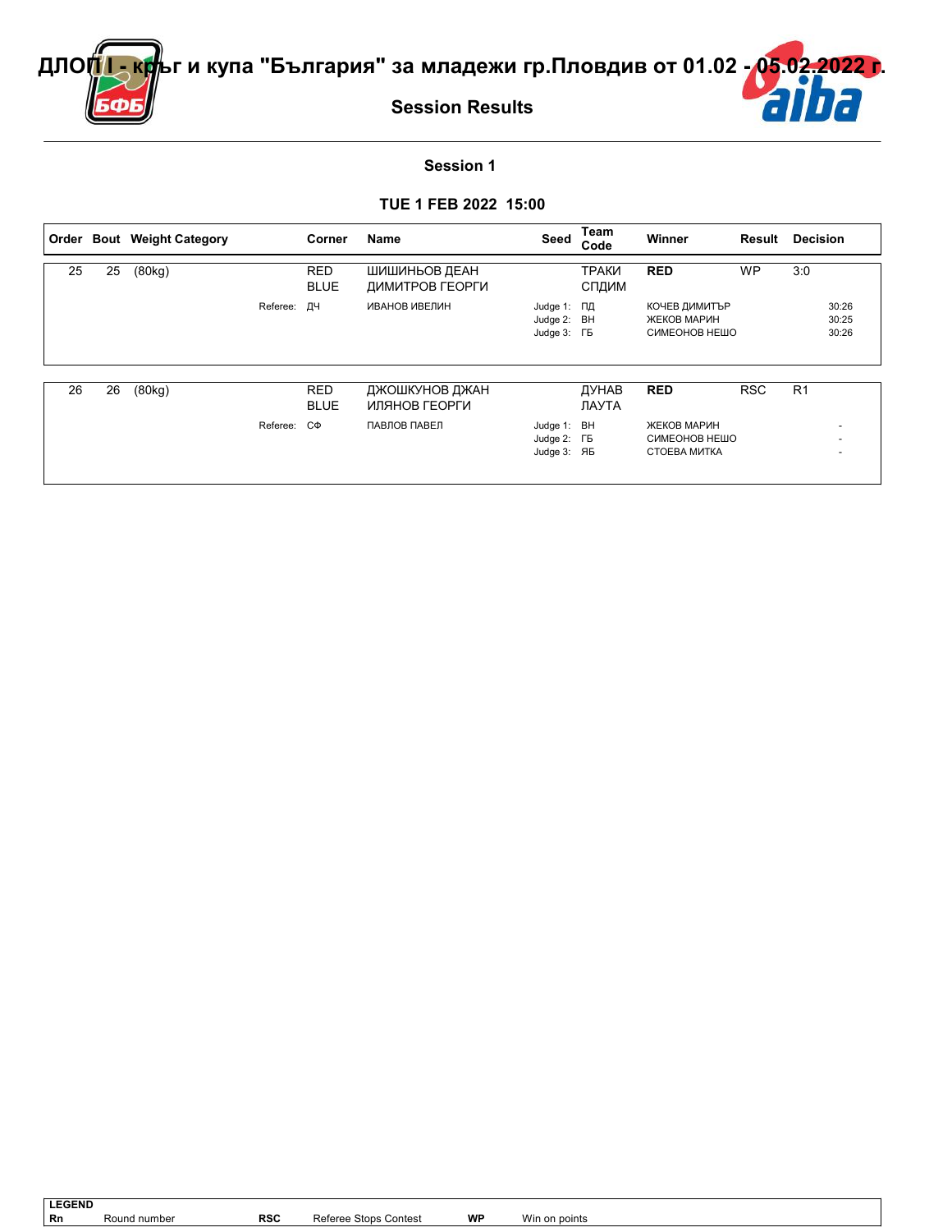

|    |    | Order Bout Weight Category |             | Corner                    | <b>Name</b>                      | Seed                                      | Team<br>Code   | Winner                                              | Result     | <b>Decision</b> |                         |
|----|----|----------------------------|-------------|---------------------------|----------------------------------|-------------------------------------------|----------------|-----------------------------------------------------|------------|-----------------|-------------------------|
| 25 | 25 | (80kg)                     |             | <b>RED</b><br><b>BLUE</b> | ШИШИНЬОВ ДЕАН<br>ДИМИТРОВ ГЕОРГИ |                                           | ТРАКИ<br>СПДИМ | <b>RED</b>                                          | <b>WP</b>  | 3:0             |                         |
|    |    |                            | Referee: ДЧ |                           | ИВАНОВ ИВЕЛИН                    | Judge 1: ПД<br>Judge 2: BH<br>Judge 3: FB |                | КОЧЕВ ДИМИТЪР<br>ЖЕКОВ МАРИН<br>СИМЕОНОВ НЕШО       |            |                 | 30:26<br>30:25<br>30:26 |
| 26 | 26 | (80kg)                     |             | <b>RED</b><br><b>BLUE</b> | ДЖОШКУНОВ ДЖАН<br>ИЛЯНОВ ГЕОРГИ  |                                           | ДУНАВ<br>ЛАУТА | <b>RED</b>                                          | <b>RSC</b> | R <sub>1</sub>  |                         |
|    |    |                            | Referee:    | CФ                        | ПАВЛОВ ПАВЕЛ                     | Judge 1: BH<br>Judge 2: FB<br>Judge 3: ЯБ |                | ЖЕКОВ МАРИН<br>СИМЕОНОВ НЕШО<br><b>CTOEBA MUTKA</b> |            |                 |                         |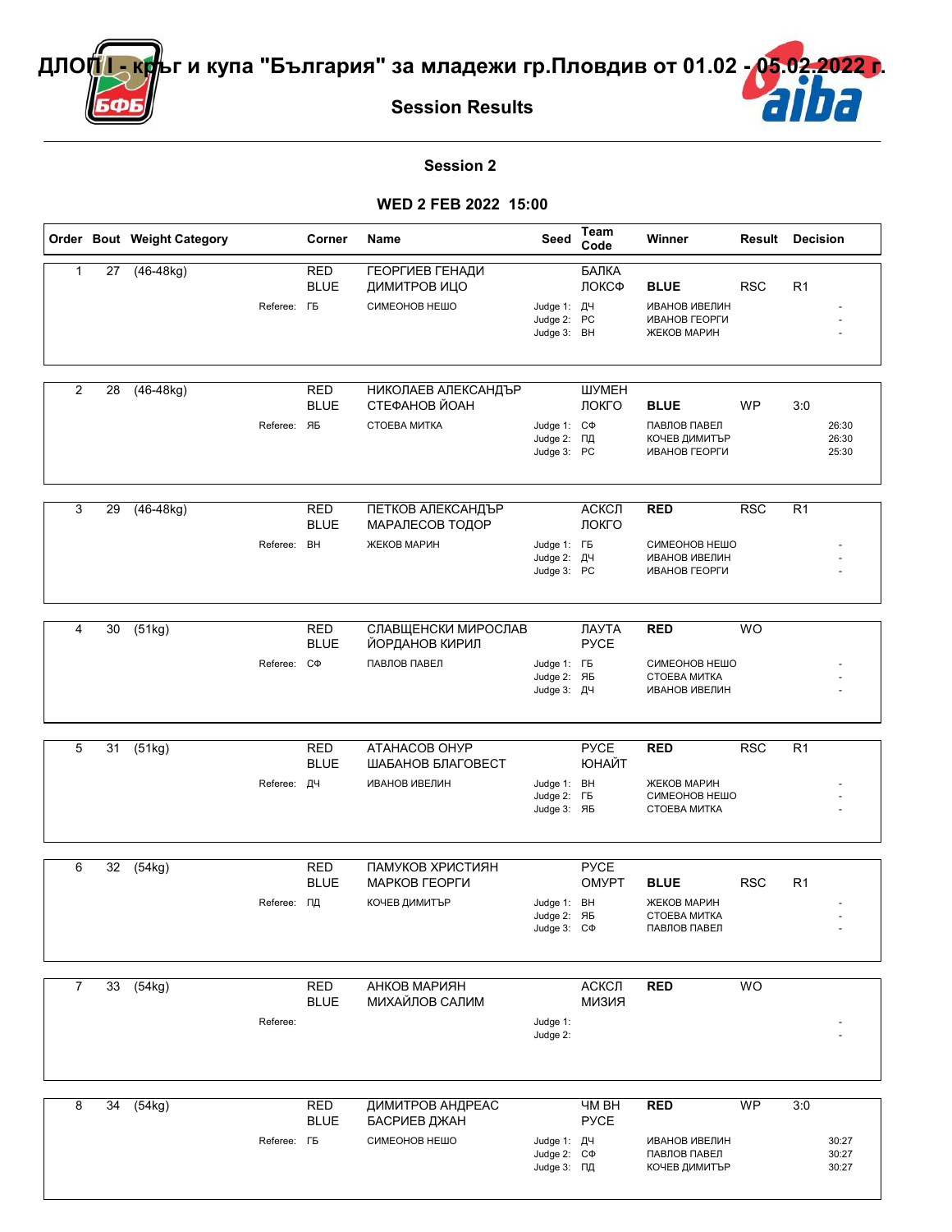

# **WED 2 FEB 2022 15:00**

|                |                 | Order Bout Weight Category |                     | Corner                    | Name                                             | Seed                                            | Team<br>Code                | Winner                                                              | <b>Result Decision</b> |                |                         |
|----------------|-----------------|----------------------------|---------------------|---------------------------|--------------------------------------------------|-------------------------------------------------|-----------------------------|---------------------------------------------------------------------|------------------------|----------------|-------------------------|
| $\mathbf{1}$   | 27              | $(46-48kg)$                | Referee: <b>F</b> B | <b>RED</b><br><b>BLUE</b> | ГЕОРГИЕВ ГЕНАДИ<br>ДИМИТРОВ ИЦО<br>СИМЕОНОВ НЕШО | Judge 1: ДЧ<br>Judge 2: PC<br>Judge 3: BH       | БАЛКА<br>ЛОКСФ              | <b>BLUE</b><br><b>ИВАНОВ ИВЕЛИН</b><br>ИВАНОВ ГЕОРГИ<br>ЖЕКОВ МАРИН | <b>RSC</b>             | R <sub>1</sub> |                         |
| $\overline{2}$ | 28              | $(46-48kg)$                |                     | <b>RED</b>                | НИКОЛАЕВ АЛЕКСАНДЪР                              |                                                 | ШУМЕН                       |                                                                     |                        |                |                         |
|                |                 |                            | Referee: ЯБ         | <b>BLUE</b>               | СТЕФАНОВ ЙОАН<br>CTOEBA MUTKA                    | Judge 1: C $\Phi$<br>Judge 2: ПД<br>Judge 3: PC | ЛОКГО                       | <b>BLUE</b><br>ПАВЛОВ ПАВЕЛ<br>КОЧЕВ ДИМИТЪР<br>ИВАНОВ ГЕОРГИ       | WP                     | 3:0            | 26:30<br>26:30<br>25:30 |
| 3              | 29              | $(46-48kg)$                |                     | <b>RED</b><br><b>BLUE</b> | ПЕТКОВ АЛЕКСАНДЪР<br>МАРАЛЕСОВ ТОДОР             |                                                 | АСКСЛ<br>ЛОКГО              | <b>RED</b>                                                          | <b>RSC</b>             | R1             |                         |
|                |                 |                            | Referee: BH         |                           | ЖЕКОВ МАРИН                                      | Judge 1: FB<br>Judge 2: ДЧ<br>Judge 3: PC       |                             | СИМЕОНОВ НЕШО<br><b>ИВАНОВ ИВЕЛИН</b><br>ИВАНОВ ГЕОРГИ              |                        |                |                         |
| 4              | 30              | (51kg)                     |                     | <b>RED</b>                | СЛАВЩЕНСКИ МИРОСЛАВ                              |                                                 | ЛАУТА                       | <b>RED</b>                                                          | <b>WO</b>              |                |                         |
|                |                 |                            | Referee: C $\Phi$   | <b>BLUE</b>               | ЙОРДАНОВ КИРИЛ<br>ПАВЛОВ ПАВЕЛ                   | Judge 1: FB<br>Judge 2: ЯБ<br>Judge 3: ДЧ       | <b>PYCE</b>                 | СИМЕОНОВ НЕШО<br>CTOEBA MUTKA<br><b>ИВАНОВ ИВЕЛИН</b>               |                        |                |                         |
| 5              | 31              | (51kg)                     |                     | <b>RED</b><br><b>BLUE</b> | ATAHACOB OHYP<br>ШАБАНОВ БЛАГОВЕСТ               |                                                 | <b>PYCE</b><br><b>ЮНАЙТ</b> | <b>RED</b>                                                          | <b>RSC</b>             | R <sub>1</sub> |                         |
|                |                 |                            | Referee: ДЧ         |                           | <b>ИВАНОВ ИВЕЛИН</b>                             | Judge 1: BH<br>Judge 2: FB<br>Judge 3: ЯБ       |                             | ЖЕКОВ МАРИН<br>СИМЕОНОВ НЕШО<br>CTOEBA MUTKA                        |                        |                |                         |
| 6              | 32              | (54kg)                     |                     | <b>RED</b>                | ПАМУКОВ ХРИСТИЯН                                 |                                                 | <b>PYCE</b>                 |                                                                     |                        |                |                         |
|                |                 |                            | Referee: ПД         | <b>BLUE</b>               | МАРКОВ ГЕОРГИ<br>КОЧЕВ ДИМИТЪР                   | Judge 1: BH<br>Judge 2: ЯБ<br>Judge 3: C $\Phi$ | <b>OMYPT</b>                | <b>BLUE</b><br>ЖЕКОВ МАРИН<br>CTOEBA MITKA<br>ПАВЛОВ ПАВЕЛ          | <b>RSC</b>             | R <sub>1</sub> |                         |
| $\overline{7}$ | $\overline{33}$ | (54kg)                     |                     | <b>RED</b><br><b>BLUE</b> | АНКОВ МАРИЯН<br>МИХАЙЛОВ САЛИМ                   |                                                 | АСКСЛ<br><b>КИЄNМ</b>       | <b>RED</b>                                                          | $\overline{WO}$        |                |                         |
|                |                 |                            | Referee:            |                           |                                                  | Judge 1:<br>Judge 2:                            |                             |                                                                     |                        |                |                         |
| 8              | 34              | (54kg)                     |                     | <b>RED</b><br><b>BLUE</b> | ДИМИТРОВ АНДРЕАС<br>БАСРИЕВ ДЖАН                 |                                                 | <b>YM BH</b><br><b>PYCE</b> | <b>RED</b>                                                          | <b>WP</b>              | 3:0            |                         |
|                |                 |                            | Referee: <b>FB</b>  |                           | СИМЕОНОВ НЕШО                                    | Judge 1: ДЧ<br>Judge 2: C $\Phi$<br>Judge 3: ПД |                             | <b>ИВАНОВ ИВЕЛИН</b><br>ПАВЛОВ ПАВЕЛ<br>КОЧЕВ ДИМИТЪР               |                        |                | 30:27<br>30:27<br>30:27 |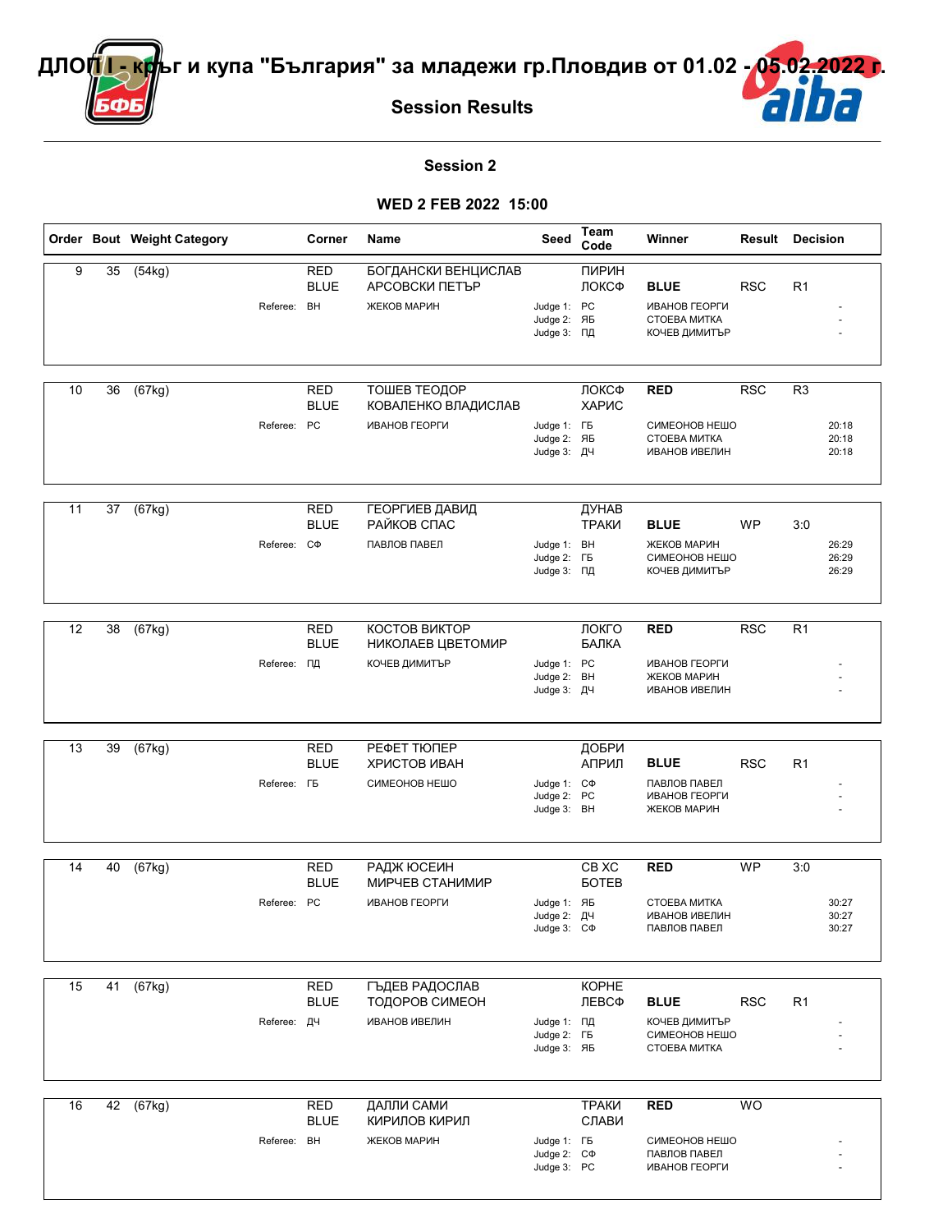

# **WED 2 FEB 2022 15:00**

|    |    | Order Bout Weight Category |                     | Corner                    | Name                                                     | Seed                                            | <b>Team</b><br>Code   | Winner                                                              | <b>Result Decision</b> |                |                         |
|----|----|----------------------------|---------------------|---------------------------|----------------------------------------------------------|-------------------------------------------------|-----------------------|---------------------------------------------------------------------|------------------------|----------------|-------------------------|
| 9  | 35 | (54kg)                     | Referee: BH         | RED<br><b>BLUE</b>        | БОГДАНСКИ ВЕНЦИСЛАВ<br>АРСОВСКИ ПЕТЪР<br>ЖЕКОВ МАРИН     | Judge 1: PC<br>Judge 2: ЯБ<br>Judge 3: ПД       | ПИРИН<br>ЛОКСФ        | <b>BLUE</b><br>ИВАНОВ ГЕОРГИ<br>СТОЕВА МИТКА<br>КОЧЕВ ДИМИТЪР       | <b>RSC</b>             | R <sub>1</sub> |                         |
| 10 | 36 | (67kg)                     | Referee: PC         | RED<br><b>BLUE</b>        | ТОШЕВ ТЕОДОР<br>КОВАЛЕНКО ВЛАДИСЛАВ<br>ИВАНОВ ГЕОРГИ     | Judge 1: FB<br>Judge 2: ЯБ<br>Judge 3: ДЧ       | ЛОКСФ<br>ХАРИС        | <b>RED</b><br>СИМЕОНОВ НЕШО<br>СТОЕВА МИТКА<br><b>ИВАНОВ ИВЕЛИН</b> | <b>RSC</b>             | R <sub>3</sub> | 20:18<br>20:18<br>20:18 |
| 11 | 37 | (67kg)                     | Referee: C $\Phi$   | RED<br><b>BLUE</b>        | ГЕОРГИЕВ ДАВИД<br>РАЙКОВ СПАС<br>ПАВЛОВ ПАВЕЛ            | Judge 1: BH<br>Judge 2: FB<br>Judge 3: ПД       | ДУНАВ<br><b>ТРАКИ</b> | <b>BLUE</b><br>ЖЕКОВ МАРИН<br>СИМЕОНОВ НЕШО<br>КОЧЕВ ДИМИТЪР        | <b>WP</b>              | 3:0            | 26:29<br>26:29<br>26:29 |
| 12 | 38 | (67kg)                     | Referee: ПД         | RED<br><b>BLUE</b>        | КОСТОВ ВИКТОР<br>НИКОЛАЕВ ЦВЕТОМИР<br>КОЧЕВ ДИМИТЪР      | Judge 1: PC<br>Judge 2: BH<br>Judge 3: ДЧ       | ЛОКГО<br>БАЛКА        | <b>RED</b><br>ИВАНОВ ГЕОРГИ<br>ЖЕКОВ МАРИН<br><b>ИВАНОВ ИВЕЛИН</b>  | <b>RSC</b>             | R <sub>1</sub> |                         |
| 13 | 39 | (67kg)                     | Referee: <b>F</b> B | <b>RED</b><br><b>BLUE</b> | ΡΕΦΕΤ ΤЮΠΕΡ<br>ХРИСТОВ ИВАН<br>СИМЕОНОВ НЕШО             | Judge 1: C $\Phi$<br>Judge 2: PC<br>Judge 3: BH | ДОБРИ<br>АПРИЛ        | <b>BLUE</b><br>ПАВЛОВ ПАВЕЛ<br>ИВАНОВ ГЕОРГИ<br>ЖЕКОВ МАРИН         | <b>RSC</b>             | R <sub>1</sub> |                         |
| 14 | 40 | (67kg)                     | Referee: PC         | <b>RED</b><br><b>BLUE</b> | РАДЖ ЮСЕИН<br>МИРЧЕВ СТАНИМИР<br>ИВАНОВ ГЕОРГИ           | Judge 1: ЯБ<br>Judge 2: ДЧ<br>Judge 3: C $\Phi$ | CB XC<br><b>GOTEB</b> | <b>RED</b><br>CTOEBA MUTKA<br><b>ИВАНОВ ИВЕЛИН</b><br>ПАВЛОВ ПАВЕЛ  | <b>WP</b>              | 3:0            | 30:27<br>30:27<br>30:27 |
| 15 | 41 | (67kg)                     | Referee: ДЧ         | <b>RED</b><br><b>BLUE</b> | ГЪДЕВ РАДОСЛАВ<br>ТОДОРОВ СИМЕОН<br><b>ИВАНОВ ИВЕЛИН</b> | Judge 1: ПД<br>Judge 2: FB<br>Judge 3: ЯБ       | <b>KOPHE</b><br>ЛЕВСФ | <b>BLUE</b><br>КОЧЕВ ДИМИТЪР<br>СИМЕОНОВ НЕШО<br>CTOEBA MITKA       | <b>RSC</b>             | R <sub>1</sub> |                         |
| 16 | 42 | (67kg)                     | Referee: BH         | RED<br><b>BLUE</b>        | ДАЛЛИ САМИ<br>КИРИЛОВ КИРИЛ<br>ЖЕКОВ МАРИН               | Judge 1: FB<br>Judge 2: C $\Phi$<br>Judge 3: PC | <b>ТРАКИ</b><br>СЛАВИ | <b>RED</b><br>СИМЕОНОВ НЕШО<br>ПАВЛОВ ПАВЕЛ<br>ИВАНОВ ГЕОРГИ        | WO                     |                |                         |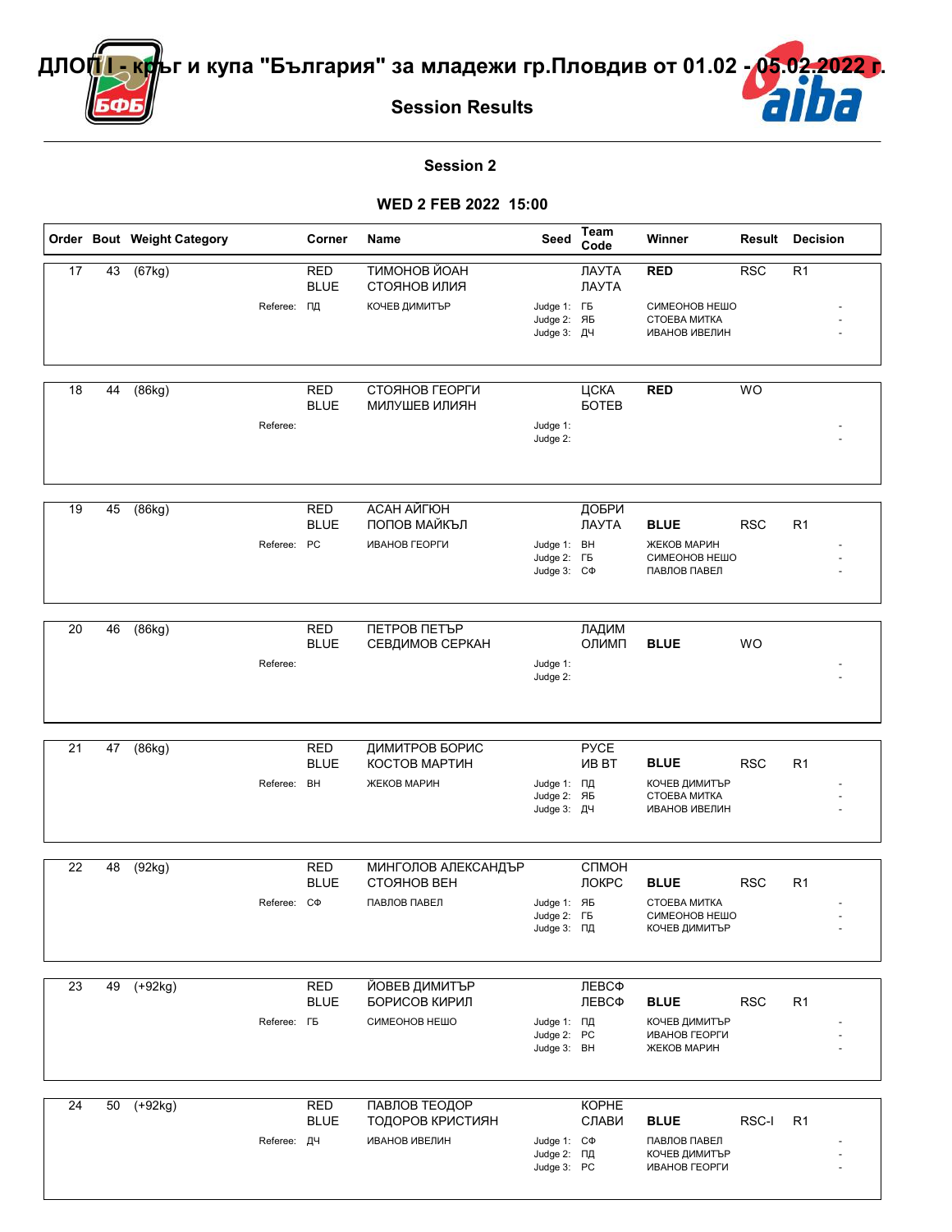

**Session Results**

#### **Session 2**

# **WED 2 FEB 2022 15:00**

|    |    | Order Bout Weight Category |                     | Corner                    | Name                                      | Seed                                            | Team<br>Code                 | Winner                                                      | Result     | <b>Decision</b> |
|----|----|----------------------------|---------------------|---------------------------|-------------------------------------------|-------------------------------------------------|------------------------------|-------------------------------------------------------------|------------|-----------------|
| 17 | 43 | (67kg)                     |                     | RED<br><b>BLUE</b>        | ТИМОНОВ ЙОАН<br>СТОЯНОВ ИЛИЯ              |                                                 | ЛАУТА<br>ЛАУТА               | <b>RED</b>                                                  | <b>RSC</b> | R <sub>1</sub>  |
|    |    |                            | Referee: ПД         |                           | КОЧЕВ ДИМИТЪР                             | Judge 1: FB<br>Judge 2: ЯБ<br>Judge 3: ДЧ       |                              | СИМЕОНОВ НЕШО<br>CTOEBA MUTKA<br><b>ИВАНОВ ИВЕЛИН</b>       |            |                 |
| 18 | 44 | (86kg)                     |                     | <b>RED</b><br><b>BLUE</b> | СТОЯНОВ ГЕОРГИ<br>МИЛУШЕВ ИЛИЯН           |                                                 | ЦСКА<br><b>GOTEB</b>         | <b>RED</b>                                                  | <b>WO</b>  |                 |
|    |    |                            | Referee:            |                           |                                           | Judge 1:<br>Judge 2:                            |                              |                                                             |            |                 |
| 19 | 45 | (86kg)                     |                     | <b>RED</b>                | АСАН АЙГЮН                                |                                                 | ДОБРИ                        |                                                             |            |                 |
|    |    |                            | Referee: PC         | <b>BLUE</b>               | ПОПОВ МАЙКЪЛ<br>ИВАНОВ ГЕОРГИ             | Judge 1: BH<br>Judge 2: FB<br>Judge 3: C $\Phi$ | ЛАУТА                        | <b>BLUE</b><br>ЖЕКОВ МАРИН<br>СИМЕОНОВ НЕШО<br>ПАВЛОВ ПАВЕЛ | <b>RSC</b> | R1              |
| 20 | 46 | (86kg)                     |                     | <b>RED</b><br><b>BLUE</b> | ПЕТРОВ ПЕТЪР<br>СЕВДИМОВ СЕРКАН           |                                                 | ЛАДИМ<br>ОЛИМП               | <b>BLUE</b>                                                 | <b>WO</b>  |                 |
|    |    |                            | Referee:            |                           |                                           | Judge 1:<br>Judge 2:                            |                              |                                                             |            |                 |
| 21 | 47 | (86kg)                     |                     | <b>RED</b><br><b>BLUE</b> | ДИМИТРОВ БОРИС<br>КОСТОВ МАРТИН           |                                                 | <b>PYCE</b><br><b>VIB BT</b> | <b>BLUE</b>                                                 | <b>RSC</b> | R <sub>1</sub>  |
|    |    |                            | Referee: BH         |                           | ЖЕКОВ МАРИН                               | Judge 1: ПД<br>Judge 2: ЯБ<br>Judge 3: ДЧ       |                              | КОЧЕВ ДИМИТЪР<br>CTOEBA MUTKA<br><b>ИВАНОВ ИВЕЛИН</b>       |            |                 |
| 22 | 48 | (92kg)                     |                     | <b>RED</b><br><b>BLUE</b> | <b>МИНГОЛОВ АЛЕКСАНДЪР</b><br>СТОЯНОВ ВЕН |                                                 | СПМОН<br>ЛОКРС               | <b>BLUE</b>                                                 | <b>RSC</b> | R <sub>1</sub>  |
|    |    |                            | Referee: C $\Phi$   |                           | ПАВЛОВ ПАВЕЛ                              | Judge 1: ЯБ<br>Judge 2: FB<br>Judge 3: ПД       |                              | CTOEBA MUTKA<br>СИМЕОНОВ НЕШО<br>КОЧЕВ ДИМИТЪР              |            |                 |
| 23 |    | 49 (+92kg)                 |                     | <b>RED</b><br><b>BLUE</b> | ЙОВЕВ ДИМИТЪР<br>БОРИСОВ КИРИЛ            |                                                 | ЛЕВСФ<br>ЛЕВСФ               | <b>BLUE</b>                                                 | <b>RSC</b> | R <sub>1</sub>  |
|    |    |                            | Referee: <b>F</b> B |                           | СИМЕОНОВ НЕШО                             | Judge 1: ПД<br>Judge 2: PC<br>Judge 3: BH       |                              | КОЧЕВ ДИМИТЪР<br>ИВАНОВ ГЕОРГИ<br>ЖЕКОВ МАРИН               |            |                 |
| 24 | 50 | $(+92kg)$                  |                     | RED<br><b>BLUE</b>        | ПАВЛОВ ТЕОДОР<br>ТОДОРОВ КРИСТИЯН         |                                                 | <b>KOPHE</b><br>СЛАВИ        | <b>BLUE</b>                                                 | RSC-I      | R <sub>1</sub>  |
|    |    |                            | Referee: ДЧ         |                           | <b>ИВАНОВ ИВЕЛИН</b>                      | Judge 1: C $\Phi$<br>Judge 2: ПД<br>Judge 3: PC |                              | ПАВЛОВ ПАВЕЛ<br>КОЧЕВ ДИМИТЪР<br>ИВАНОВ ГЕОРГИ              |            |                 |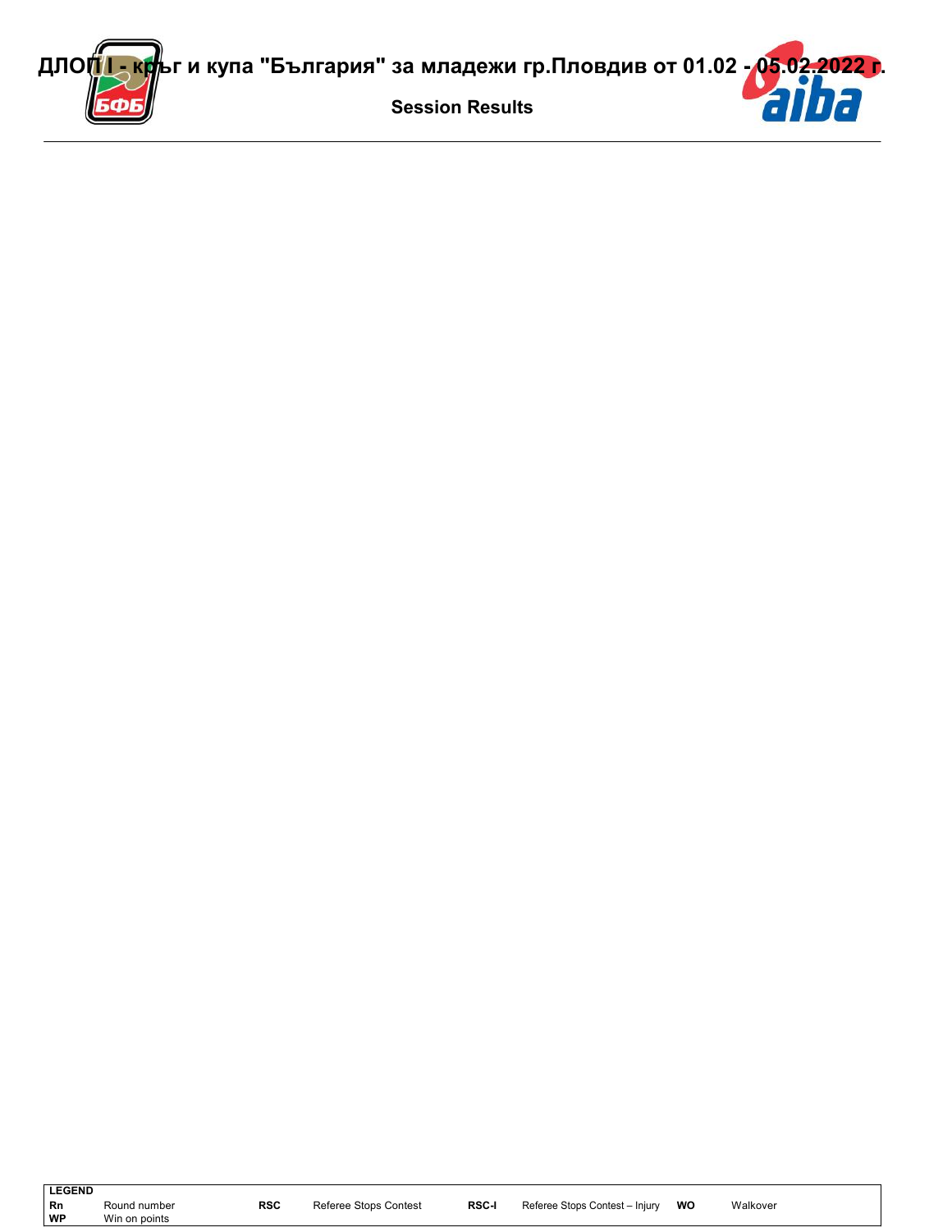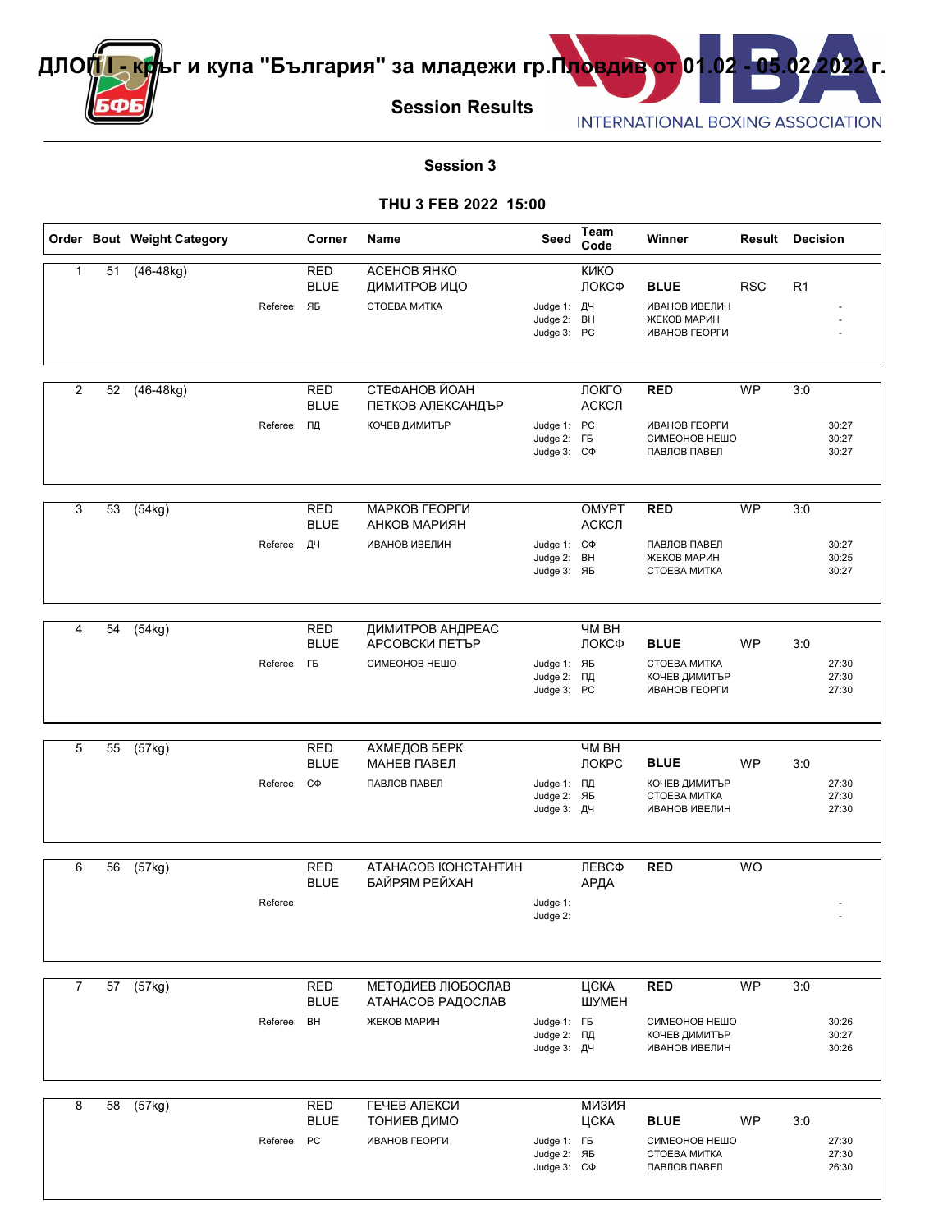

|                |    | Order Bout Weight Category |                    | Corner                          | Name                                                  | Seed                                            | Team<br>Code          | Winner                                                               | <b>Result Decision</b> |                |                         |
|----------------|----|----------------------------|--------------------|---------------------------------|-------------------------------------------------------|-------------------------------------------------|-----------------------|----------------------------------------------------------------------|------------------------|----------------|-------------------------|
| $\mathbf{1}$   | 51 | $(46-48kg)$                | Referee: ЯБ        | <b>RED</b><br><b>BLUE</b>       | АСЕНОВ ЯНКО<br>ДИМИТРОВ ИЦО<br>CTOEBA MUTKA           | Judge 1: ДЧ<br>Judge 2: BH<br>Judge 3: PC       | <b>KNKO</b><br>ЛОКСФ  | <b>BLUE</b><br><b>ИВАНОВ ИВЕЛИН</b><br>ЖЕКОВ МАРИН<br>ИВАНОВ ГЕОРГИ  | <b>RSC</b>             | R <sub>1</sub> |                         |
| $\overline{2}$ | 52 | $(46-48kg)$                | Referee:           | <b>RED</b><br><b>BLUE</b><br>ПД | СТЕФАНОВ ЙОАН<br>ПЕТКОВ АЛЕКСАНДЪР<br>КОЧЕВ ДИМИТЪР   | Judge 1: PC<br>Judge 2: FB<br>Judge 3: C $\Phi$ | ЛОКГО<br>АСКСЛ        | <b>RED</b><br>ИВАНОВ ГЕОРГИ<br>СИМЕОНОВ НЕШО<br>ПАВЛОВ ПАВЕЛ         | <b>WP</b>              | 3:0            | 30:27<br>30:27<br>30:27 |
| 3              | 53 | (54kg)                     | Referee: ДЧ        | <b>RED</b><br><b>BLUE</b>       | МАРКОВ ГЕОРГИ<br>АНКОВ МАРИЯН<br><b>ИВАНОВ ИВЕЛИН</b> | Judge 1: C $\Phi$<br>Judge 2: BH<br>Judge 3: ЯБ | <b>OMYPT</b><br>АСКСЛ | <b>RED</b><br>ПАВЛОВ ПАВЕЛ<br>ЖЕКОВ МАРИН<br><b>CTOEBA MUTKA</b>     | <b>WP</b>              | 3:0            | 30:27<br>30:25<br>30:27 |
| 4              | 54 | (54kg)                     | Referee: <b>FB</b> | <b>RED</b><br><b>BLUE</b>       | ДИМИТРОВ АНДРЕАС<br>АРСОВСКИ ПЕТЪР<br>СИМЕОНОВ НЕШО   | Judge 1: ЯБ<br>Judge 2: ПД<br>Judge 3: PC       | <b>YM BH</b><br>ЛОКСФ | <b>BLUE</b><br>CTOEBA MUTKA<br>КОЧЕВ ДИМИТЪР<br>ИВАНОВ ГЕОРГИ        | <b>WP</b>              | 3:0            | 27:30<br>27:30<br>27:30 |
| 5              | 55 | (57kg)                     | Referee: C $\Phi$  | <b>RED</b><br><b>BLUE</b>       | АХМЕДОВ БЕРК<br>МАНЕВ ПАВЕЛ<br>ПАВЛОВ ПАВЕЛ           | Judge 1: ПД<br>Judge 2: ЯБ<br>Judge 3: ДЧ       | <b>YM BH</b><br>ЛОКРС | <b>BLUE</b><br>КОЧЕВ ДИМИТЪР<br>CTOEBA MUTKA<br><b>ИВАНОВ ИВЕЛИН</b> | <b>WP</b>              | 3:0            | 27:30<br>27:30<br>27:30 |
| 6              | 56 | (57kg)                     | Referee:           | <b>RED</b><br><b>BLUE</b>       | АТАНАСОВ КОНСТАНТИН<br>БАЙРЯМ РЕЙХАН                  | Judge 1:<br>Judge 2:                            | ЛЕВСФ<br>АРДА         | <b>RED</b>                                                           | <b>WO</b>              |                |                         |
| $\overline{7}$ | 57 | (57kg)                     | Referee: BH        | <b>RED</b><br><b>BLUE</b>       | МЕТОДИЕВ ЛЮБОСЛАВ<br>АТАНАСОВ РАДОСЛАВ<br>ЖЕКОВ МАРИН | Judge 1: FB<br>Judge 2: ПД<br>Judge 3: ДЧ       | ЦСКА<br>ШУМЕН         | <b>RED</b><br>СИМЕОНОВ НЕШО<br>КОЧЕВ ДИМИТЪР<br><b>ИВАНОВ ИВЕЛИН</b> | <b>WP</b>              | 3:0            | 30:26<br>30:27<br>30:26 |
| 8              | 58 | (57kg)                     | Referee: PC        | <b>RED</b><br><b>BLUE</b>       | ГЕЧЕВ АЛЕКСИ<br>ТОНИЕВ ДИМО<br>ИВАНОВ ГЕОРГИ          | Judge 1: FB<br>Judge 2: ЯБ<br>Judge 3: C $\Phi$ | <b>КИЄММ</b><br>ЦСКА  | <b>BLUE</b><br>СИМЕОНОВ НЕШО<br>CTOEBA MUTKA<br>ПАВЛОВ ПАВЕЛ         | WP                     | 3:0            | 27:30<br>27:30<br>26:30 |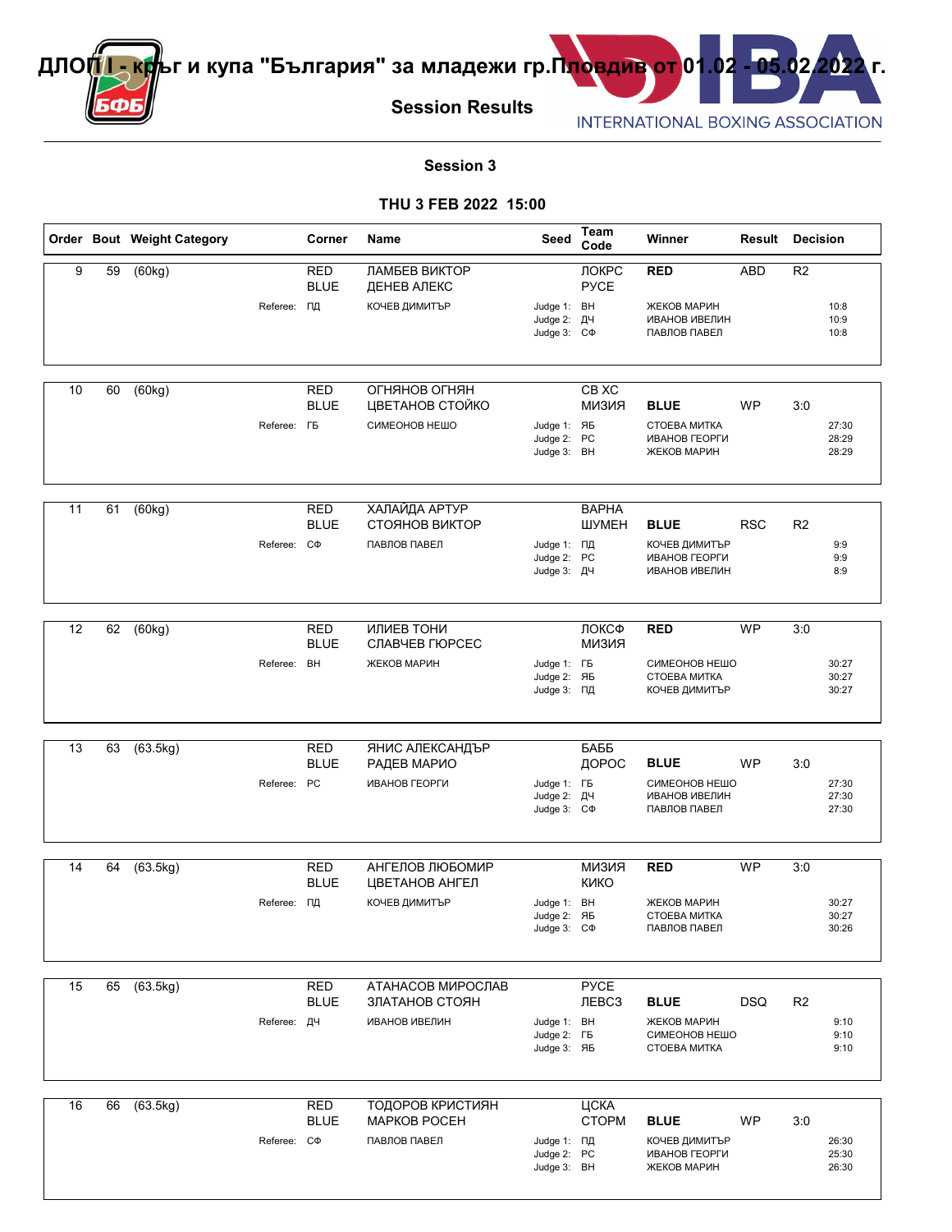

|    |    | Order Bout Weight Category |                     | Corner                    | Name                                          | Seed                                            | Team<br>Code          | Winner                                                 | Result     | <b>Decision</b> |                         |
|----|----|----------------------------|---------------------|---------------------------|-----------------------------------------------|-------------------------------------------------|-----------------------|--------------------------------------------------------|------------|-----------------|-------------------------|
| 9  | 59 | (60kg)                     | Referee: ПД         | <b>RED</b><br><b>BLUE</b> | ЛАМБЕВ ВИКТОР<br>ДЕНЕВ АЛЕКС<br>КОЧЕВ ДИМИТЪР | Judge 1: BH<br>Judge 2: ДЧ                      | ЛОКРС<br><b>PYCE</b>  | <b>RED</b><br>ЖЕКОВ МАРИН<br><b>ИВАНОВ ИВЕЛИН</b>      | <b>ABD</b> | R <sub>2</sub>  | 10:8<br>10:9            |
|    |    |                            |                     |                           |                                               | Judge 3: C $\Phi$                               |                       | ПАВЛОВ ПАВЕЛ                                           |            |                 | 10:8                    |
| 10 | 60 | (60kg)                     |                     | <b>RED</b><br><b>BLUE</b> | ОГНЯНОВ ОГНЯН<br>ЦВЕТАНОВ СТОЙКО              |                                                 | CB XC<br><b>КИЗИЯ</b> | <b>BLUE</b>                                            | WP         | 3:0             |                         |
|    |    |                            | Referee: <b>F</b> B |                           | СИМЕОНОВ НЕШО                                 | Judge 1: ЯБ<br>Judge 2: PC<br>Judge 3: BH       |                       | CTOEBA MUTKA<br><b>ИВАНОВ ГЕОРГИ</b><br>ЖЕКОВ МАРИН    |            |                 | 27:30<br>28:29<br>28:29 |
| 11 | 61 | (60kg)                     |                     | <b>RED</b><br><b>BLUE</b> | ХАЛАЙДА АРТУР<br>СТОЯНОВ ВИКТОР               |                                                 | <b>BAPHA</b><br>ШУМЕН | <b>BLUE</b>                                            | <b>RSC</b> | R <sub>2</sub>  |                         |
|    |    |                            | Referee: C $\Phi$   |                           | ПАВЛОВ ПАВЕЛ                                  | Judge 1: ПД<br>Judge 2: PC<br>Judge 3: ДЧ       |                       | КОЧЕВ ДИМИТЪР<br>ИВАНОВ ГЕОРГИ<br><b>ИВАНОВ ИВЕЛИН</b> |            |                 | 9:9<br>9:9<br>8:9       |
| 12 | 62 | (60kg)                     |                     | <b>RED</b>                | ИЛИЕВ ТОНИ                                    |                                                 | ЛОКСФ                 | <b>RED</b>                                             | <b>WP</b>  | 3:0             |                         |
|    |    |                            | Referee: BH         | <b>BLUE</b>               | СЛАВЧЕВ ГЮРСЕС<br>ЖЕКОВ МАРИН                 | Judge 1: FB<br>Judge 2: ЯБ<br>Judge 3: ПД       | <b>КИЗИЯ</b>          | СИМЕОНОВ НЕШО<br>CTOEBA MITKA<br>КОЧЕВ ДИМИТЪР         |            |                 | 30:27<br>30:27<br>30:27 |
| 13 | 63 | (63.5kg)                   |                     | <b>RED</b><br><b>BLUE</b> | ЯНИС АЛЕКСАНДЪР<br>РАДЕВ МАРИО                |                                                 | БАББ<br>ДОРОС         | <b>BLUE</b>                                            | <b>WP</b>  | 3:0             |                         |
|    |    |                            | Referee: PC         |                           | ИВАНОВ ГЕОРГИ                                 | Judge 1: FB<br>Judge 2: ДЧ<br>Judge 3: C $\Phi$ |                       | СИМЕОНОВ НЕШО<br><b>ИВАНОВ ИВЕЛИН</b><br>ПАВЛОВ ПАВЕЛ  |            |                 | 27:30<br>27:30<br>27:30 |
| 14 | 64 | (63.5kg)                   |                     | <b>RED</b><br><b>BLUE</b> | АНГЕЛОВ ЛЮБОМИР<br>ЦВЕТАНОВ АНГЕЛ             |                                                 | МИЗИЯ<br><b>KNKO</b>  | <b>RED</b>                                             | <b>WP</b>  | 3:0             |                         |
|    |    |                            | Referee: ПД         |                           | КОЧЕВ ДИМИТЪР                                 | Judge 1: BH<br>Judge 2: ЯБ<br>Judge 3: C $\Phi$ |                       | ЖЕКОВ МАРИН<br>СТОЕВА МИТКА<br>ПАВЛОВ ПАВЕЛ            |            |                 | 30:27<br>30:27<br>30:26 |
| 15 | 65 | (63.5kg)                   |                     | <b>RED</b><br><b>BLUE</b> | АТАНАСОВ МИРОСЛАВ<br>ЗЛАТАНОВ СТОЯН           |                                                 | <b>PYCE</b><br>ЛЕВСЗ  | <b>BLUE</b>                                            | <b>DSQ</b> | R <sub>2</sub>  |                         |
|    |    |                            | Referee: ДЧ         |                           | <b>ИВАНОВ ИВЕЛИН</b>                          | Judge 1: BH<br>Judge 2: FB<br>Judge 3: ЯБ       |                       | ЖЕКОВ МАРИН<br>СИМЕОНОВ НЕШО<br>СТОЕВА МИТКА           |            |                 | 9:10<br>9:10<br>9:10    |
| 16 | 66 | (63.5kg)                   |                     | <b>RED</b><br><b>BLUE</b> | ТОДОРОВ КРИСТИЯН<br>MAPKOB POCEH              |                                                 | ЦСКА<br><b>CTOPM</b>  | <b>BLUE</b>                                            | WP         | 3:0             |                         |
|    |    |                            | Referee: C $\Phi$   |                           | ПАВЛОВ ПАВЕЛ                                  | Judge 1: ПД<br>Judge 2: PC<br>Judge 3: BH       |                       | КОЧЕВ ДИМИТЪР<br>ИВАНОВ ГЕОРГИ<br>ЖЕКОВ МАРИН          |            |                 | 26:30<br>25:30<br>26:30 |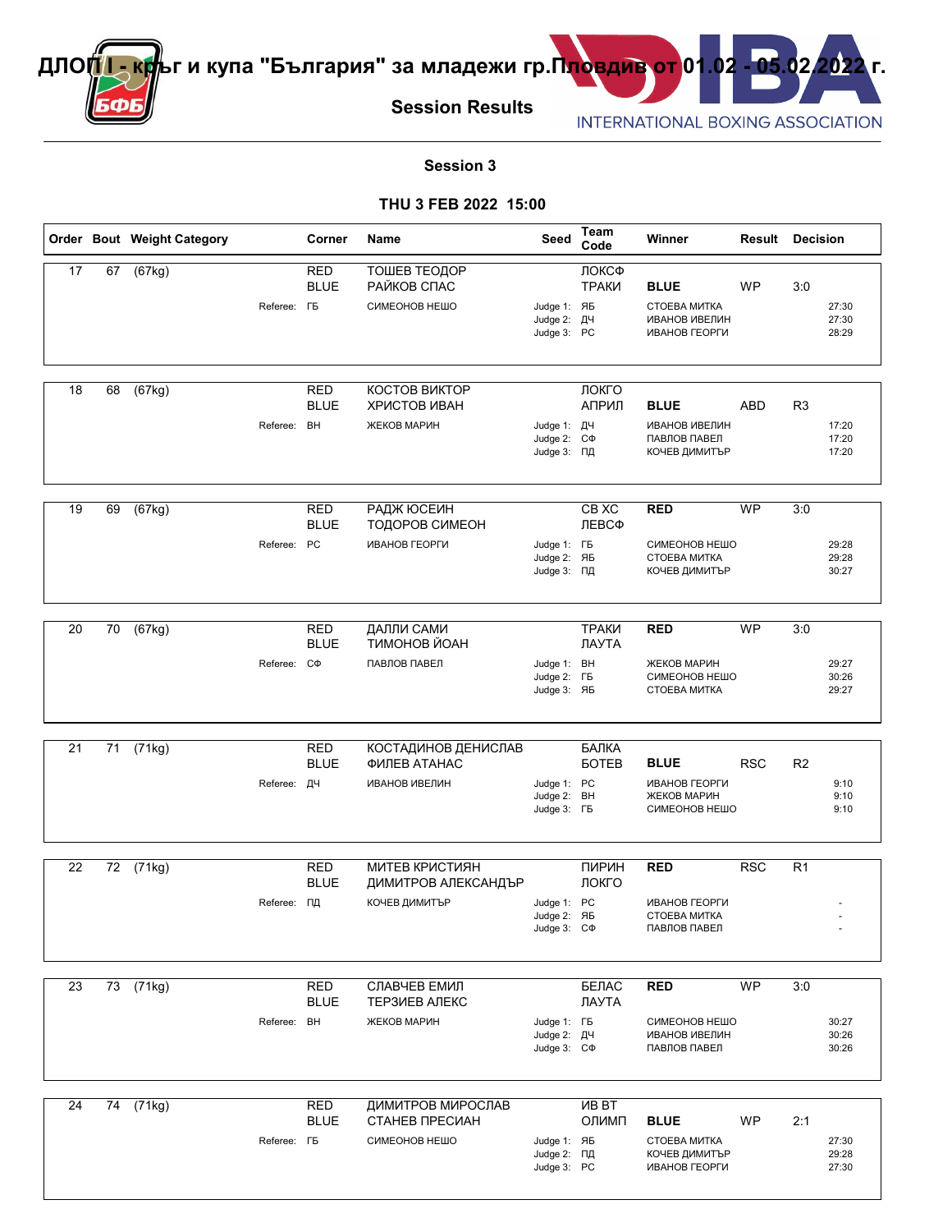

|    |    | Order Bout Weight Category |                    | Corner                          | Name                                                          | Seed                                            | Team<br>Code           | Winner                                                               | Result     | <b>Decision</b> |                         |
|----|----|----------------------------|--------------------|---------------------------------|---------------------------------------------------------------|-------------------------------------------------|------------------------|----------------------------------------------------------------------|------------|-----------------|-------------------------|
| 17 | 67 | (67kg)                     | Referee: <b>FB</b> | <b>RED</b><br><b>BLUE</b>       | ТОШЕВ ТЕОДОР<br>РАЙКОВ СПАС<br>СИМЕОНОВ НЕШО                  | Judge 1: ЯБ<br>Judge 2: ДЧ<br>Judge 3: PC       | ЛОКСФ<br><b>ТРАКИ</b>  | <b>BLUE</b><br>СТОЕВА МИТКА<br><b>ИВАНОВ ИВЕЛИН</b><br>ИВАНОВ ГЕОРГИ | <b>WP</b>  | 3:0             | 27:30<br>27:30<br>28:29 |
| 18 | 68 | (67kg)                     | Referee:           | <b>RED</b><br><b>BLUE</b><br>BH | КОСТОВ ВИКТОР<br>ХРИСТОВ ИВАН<br>ЖЕКОВ МАРИН                  | Judge 1: ДЧ<br>Judge 2: C $\Phi$<br>Judge 3: ПД | ЛОКГО<br>АПРИЛ         | <b>BLUE</b><br><b>ИВАНОВ ИВЕЛИН</b><br>ПАВЛОВ ПАВЕЛ<br>КОЧЕВ ДИМИТЪР | <b>ABD</b> | R <sub>3</sub>  | 17:20<br>17:20<br>17:20 |
| 19 | 69 | (67kg)                     | Referee:           | <b>RED</b><br><b>BLUE</b><br>PC | РАДЖ ЮСЕИН<br>ТОДОРОВ СИМЕОН<br>ИВАНОВ ГЕОРГИ                 | Judge 1: FB<br>Judge 2: ЯБ<br>Judge 3: ПД       | CB XC<br>ЛЕВСФ         | <b>RED</b><br>СИМЕОНОВ НЕШО<br>СТОЕВА МИТКА<br>КОЧЕВ ДИМИТЪР         | <b>WP</b>  | 3:0             | 29:28<br>29:28<br>30:27 |
| 20 | 70 | (67kg)                     | Referee: C $\Phi$  | <b>RED</b><br><b>BLUE</b>       | ДАЛЛИ САМИ<br>ТИМОНОВ ЙОАН<br>ПАВЛОВ ПАВЕЛ                    | Judge 1: BH<br>Judge 2: FB<br>Judge 3: ЯБ       | <b>ТРАКИ</b><br>ЛАУТА  | <b>RED</b><br>ЖЕКОВ МАРИН<br>СИМЕОНОВ НЕШО<br>CTOEBA MUTKA           | <b>WP</b>  | 3:0             | 29:27<br>30:26<br>29:27 |
| 21 | 71 | (71kg)                     | Referee:           | <b>RED</b><br><b>BLUE</b><br>ДЧ | КОСТАДИНОВ ДЕНИСЛАВ<br>ФИЛЕВ АТАНАС<br><b>ИВАНОВ ИВЕЛИН</b>   | Judge 1: PC<br>Judge 2: BH<br>Judge 3: FB       | БАЛКА<br><b>GOTEB</b>  | <b>BLUE</b><br>ИВАНОВ ГЕОРГИ<br>ЖЕКОВ МАРИН<br>СИМЕОНОВ НЕШО         | <b>RSC</b> | R <sub>2</sub>  | 9:10<br>9:10<br>9:10    |
| 22 | 72 | (71kg)                     | Referee:           | <b>RED</b><br><b>BLUE</b><br>ПД | <b>МИТЕВ КРИСТИЯН</b><br>ДИМИТРОВ АЛЕКСАНДЪР<br>КОЧЕВ ДИМИТЪР | Judge 1: PC<br>Judge 2: ЯБ<br>Judge 3: C $\Phi$ | ПИРИН<br>ЛОКГО         | <b>RED</b><br>ИВАНОВ ГЕОРГИ<br>CTOEBA MUTKA<br>ПАВЛОВ ПАВЕЛ          | <b>RSC</b> | R <sub>1</sub>  |                         |
| 23 |    | 73 (71kg)                  | Referee: BH        | <b>RED</b><br><b>BLUE</b>       | СЛАВЧЕВ ЕМИЛ<br>ТЕРЗИЕВ АЛЕКС<br>ЖЕКОВ МАРИН                  | Judge 1: FB<br>Judge 2: ДЧ<br>Judge 3: C $\Phi$ | БЕЛАС<br>ЛАУТА         | <b>RED</b><br>СИМЕОНОВ НЕШО<br><b>ИВАНОВ ИВЕЛИН</b><br>ПАВЛОВ ПАВЕЛ  | <b>WP</b>  | 3:0             | 30:27<br>30:26<br>30:26 |
| 24 |    | 74 (71kg)                  | Referee: <b>FB</b> | <b>RED</b><br><b>BLUE</b>       | ДИМИТРОВ МИРОСЛАВ<br>СТАНЕВ ПРЕСИАН<br>СИМЕОНОВ НЕШО          | Judge 1: ЯБ<br>Judge 2: ПД<br>Judge 3: PC       | <b>VIB BT</b><br>ОЛИМП | <b>BLUE</b><br>СТОЕВА МИТКА<br>КОЧЕВ ДИМИТЪР<br><b>ИВАНОВ ГЕОРГИ</b> | WP         | 2:1             | 27:30<br>29:28<br>27:30 |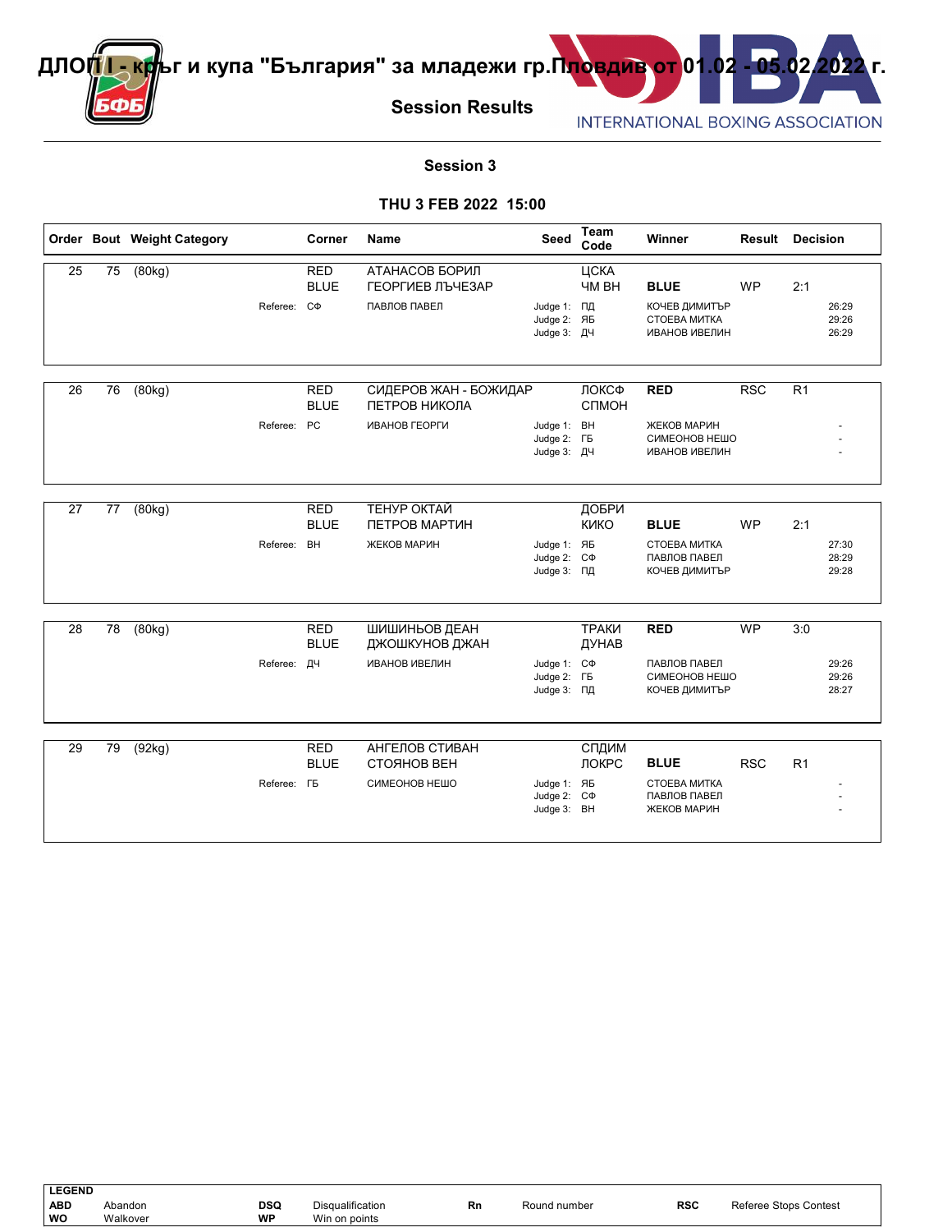

|    |    | Order Bout Weight Category |                    | Corner                    | Name                                                    | Seed                                            | Team<br>Code          | Winner                                                             | Result     | <b>Decision</b> |                         |
|----|----|----------------------------|--------------------|---------------------------|---------------------------------------------------------|-------------------------------------------------|-----------------------|--------------------------------------------------------------------|------------|-----------------|-------------------------|
| 25 | 75 | (80kg)                     | Referee: C $\Phi$  | <b>RED</b><br><b>BLUE</b> | АТАНАСОВ БОРИЛ<br>ГЕОРГИЕВ ЛЪЧЕЗАР<br>ПАВЛОВ ПАВЕЛ      | Judge 1: ПД<br>Judge 2: ЯБ<br>Judge 3: ДЧ       | ЦСКА<br><b>YM BH</b>  | <b>BLUE</b><br>КОЧЕВ ДИМИТЪР<br>СТОЕВА МИТКА<br>ИВАНОВ ИВЕЛИН      | <b>WP</b>  | 2:1             | 26:29<br>29:26<br>26:29 |
| 26 | 76 | (80kg)                     | Referee: PC        | <b>RED</b><br><b>BLUE</b> | СИДЕРОВ ЖАН - БОЖИДАР<br>ПЕТРОВ НИКОЛА<br>ИВАНОВ ГЕОРГИ | Judge 1: BH<br>Judge 2: FB<br>Judge 3: ДЧ       | ЛОКСФ<br>СПМОН        | <b>RED</b><br>ЖЕКОВ МАРИН<br>СИМЕОНОВ НЕШО<br><b>ИВАНОВ ИВЕЛИН</b> | RSC        | R <sub>1</sub>  |                         |
| 27 | 77 | (80kg)                     | Referee: BH        | <b>RED</b><br><b>BLUE</b> | ТЕНУР ОКТАЙ<br>ПЕТРОВ МАРТИН<br>ЖЕКОВ МАРИН             | Judge 1: ЯБ<br>Judge 2: C $\Phi$<br>Judge 3: ПД | ДОБРИ<br><b>KNKO</b>  | <b>BLUE</b><br>CTOEBA MUTKA<br>ПАВЛОВ ПАВЕЛ<br>КОЧЕВ ДИМИТЪР       | <b>WP</b>  | 2:1             | 27:30<br>28:29<br>29:28 |
| 28 | 78 | (80kg)                     | Referee: ДЧ        | <b>RED</b><br><b>BLUE</b> | ШИШИНЬОВ ДЕАН<br>ДЖОШКУНОВ ДЖАН<br><b>ИВАНОВ ИВЕЛИН</b> | Judge 1: C $\Phi$<br>Judge 2: FB<br>Judge 3: ПД | <b>ТРАКИ</b><br>ДУНАВ | <b>RED</b><br>ПАВЛОВ ПАВЕЛ<br>СИМЕОНОВ НЕШО<br>КОЧЕВ ДИМИТЪР       | <b>WP</b>  | 3:0             | 29:26<br>29:26<br>28:27 |
| 29 | 79 | (92kg)                     | Referee: <b>FB</b> | <b>RED</b><br><b>BLUE</b> | <b>АНГЕЛОВ СТИВАН</b><br>СТОЯНОВ ВЕН<br>СИМЕОНОВ НЕШО   | Judge 1: ЯБ<br>Judge 2: C $\Phi$<br>Judge 3: BH | СПДИМ<br>ЛОКРС        | <b>BLUE</b><br>СТОЕВА МИТКА<br>ПАВЛОВ ПАВЕЛ<br>ЖЕКОВ МАРИН         | <b>RSC</b> | R1              |                         |

| <b>LEGEND</b> |          |            |                  |    |              |            |                       |
|---------------|----------|------------|------------------|----|--------------|------------|-----------------------|
| <b>ABD</b>    | Abandon  | <b>DSQ</b> | Disqualification | Rn | Round number | <b>RSC</b> | Referee Stops Contest |
| wo            | Walkover | WP         | Win on points    |    |              |            |                       |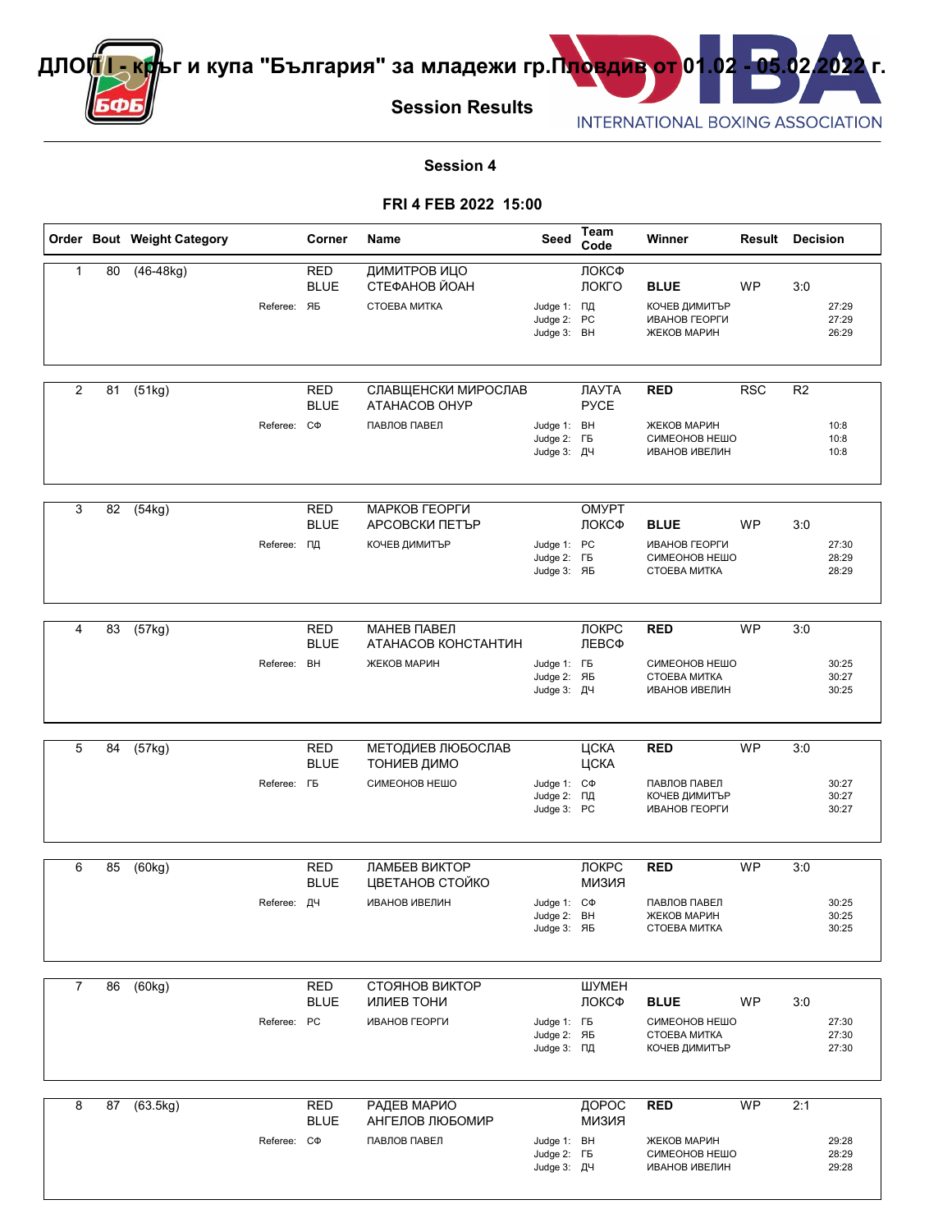

#### **FRI 4 FEB 2022 15:00**

|                |    | Order Bout Weight Category |                    | Corner                          | Name                                                     | Seed                                            | Team<br>Code          | Winner                                                              | Result     | <b>Decision</b> |                         |
|----------------|----|----------------------------|--------------------|---------------------------------|----------------------------------------------------------|-------------------------------------------------|-----------------------|---------------------------------------------------------------------|------------|-----------------|-------------------------|
| $\mathbf{1}$   | 80 | $(46-48kg)$                | Referee: ЯБ        | <b>RED</b><br><b>BLUE</b>       | ДИМИТРОВ ИЦО<br>СТЕФАНОВ ЙОАН<br>СТОЕВА МИТКА            | Judge 1: ПД<br>Judge 2: PC<br>Judge 3: BH       | ЛОКСФ<br>ЛОКГО        | <b>BLUE</b><br>КОЧЕВ ДИМИТЪР<br>ИВАНОВ ГЕОРГИ<br>ЖЕКОВ МАРИН        | <b>WP</b>  | 3:0             | 27:29<br>27:29<br>26:29 |
| $\overline{2}$ | 81 | (51kg)                     | Referee:           | <b>RED</b><br><b>BLUE</b><br>CФ | СЛАВЩЕНСКИ МИРОСЛАВ<br>ATAHACOB OHYP<br>ПАВЛОВ ПАВЕЛ     | Judge 1: BH<br>Judge 2: FB<br>Judge 3: ДЧ       | ЛАУТА<br><b>PYCE</b>  | <b>RED</b><br>ЖЕКОВ МАРИН<br>СИМЕОНОВ НЕШО<br><b>ИВАНОВ ИВЕЛИН</b>  | <b>RSC</b> | R2              | 10:8<br>10:8<br>10:8    |
| 3              | 82 | (54kg)                     | Referee:           | <b>RED</b><br><b>BLUE</b><br>ПД | МАРКОВ ГЕОРГИ<br>АРСОВСКИ ПЕТЪР<br>КОЧЕВ ДИМИТЪР         | Judge 1: PC<br>Judge 2: FB<br>Judge 3: ЯБ       | <b>OMYPT</b><br>ЛОКСФ | <b>BLUE</b><br>ИВАНОВ ГЕОРГИ<br>СИМЕОНОВ НЕШО<br>CTOEBA MUTKA       | <b>WP</b>  | 3:0             | 27:30<br>28:29<br>28:29 |
| 4              | 83 | (57kg)                     | Referee:           | <b>RED</b><br><b>BLUE</b><br>BH | МАНЕВ ПАВЕЛ<br>АТАНАСОВ КОНСТАНТИН<br>ЖЕКОВ МАРИН        | Judge 1: FB<br>Judge 2: ЯБ<br>Judge 3: ДЧ       | ЛОКРС<br>ЛЕВСФ        | <b>RED</b><br>СИМЕОНОВ НЕШО<br>CTOEBA MUTKA<br><b>ИВАНОВ ИВЕЛИН</b> | <b>WP</b>  | 3:0             | 30:25<br>30:27<br>30:25 |
| 5              | 84 | (57kg)                     | Referee: <b>FB</b> | <b>RED</b><br><b>BLUE</b>       | МЕТОДИЕВ ЛЮБОСЛАВ<br>ТОНИЕВ ДИМО<br>СИМЕОНОВ НЕШО        | Judge 1: C $\Phi$<br>Judge 2: ПД<br>Judge 3: PC | ЦСКА<br>ЦСКА          | <b>RED</b><br>ПАВЛОВ ПАВЕЛ<br>КОЧЕВ ДИМИТЪР<br>ИВАНОВ ГЕОРГИ        | <b>WP</b>  | 3:0             | 30:27<br>30:27<br>30:27 |
| 6              | 85 | (60kg)                     | Referee: ДЧ        | <b>RED</b><br><b>BLUE</b>       | ЛАМБЕВ ВИКТОР<br>ЦВЕТАНОВ СТОЙКО<br><b>ИВАНОВ ИВЕЛИН</b> | Judge 1: C $\Phi$<br>Judge 2: BH<br>Judge 3: ЯБ | ЛОКРС<br>МИЗИЯ        | <b>RED</b><br>ПАВЛОВ ПАВЕЛ<br><b>ЖЕКОВ МАРИН</b><br>СТОЕВА МИТКА    | <b>WP</b>  | 3:0             | 30:25<br>30:25<br>30:25 |
| $\overline{7}$ | 86 | (60kg)                     | Referee: PC        | <b>RED</b><br><b>BLUE</b>       | СТОЯНОВ ВИКТОР<br>ИЛИЕВ ТОНИ<br>ИВАНОВ ГЕОРГИ            | Judge 1: FB<br>Judge 2: ЯБ<br>Judge 3: ПД       | ШУМЕН<br>ЛОКСФ        | <b>BLUE</b><br>СИМЕОНОВ НЕШО<br>СТОЕВА МИТКА<br>КОЧЕВ ДИМИТЪР       | WP         | 3:0             | 27:30<br>27:30<br>27:30 |
| 8              | 87 | (63.5kg)                   | Referee: C $\Phi$  | <b>RED</b><br><b>BLUE</b>       | РАДЕВ МАРИО<br>АНГЕЛОВ ЛЮБОМИР<br>ПАВЛОВ ПАВЕЛ           | Judge 1: BH<br>Judge 2: FB<br>Judge 3: ДЧ       | ДОРОС<br><b>КИЗИЯ</b> | <b>RED</b><br>ЖЕКОВ МАРИН<br>СИМЕОНОВ НЕШО<br>ИВАНОВ ИВЕЛИН         | WP         | 2:1             | 29:28<br>28:29<br>29:28 |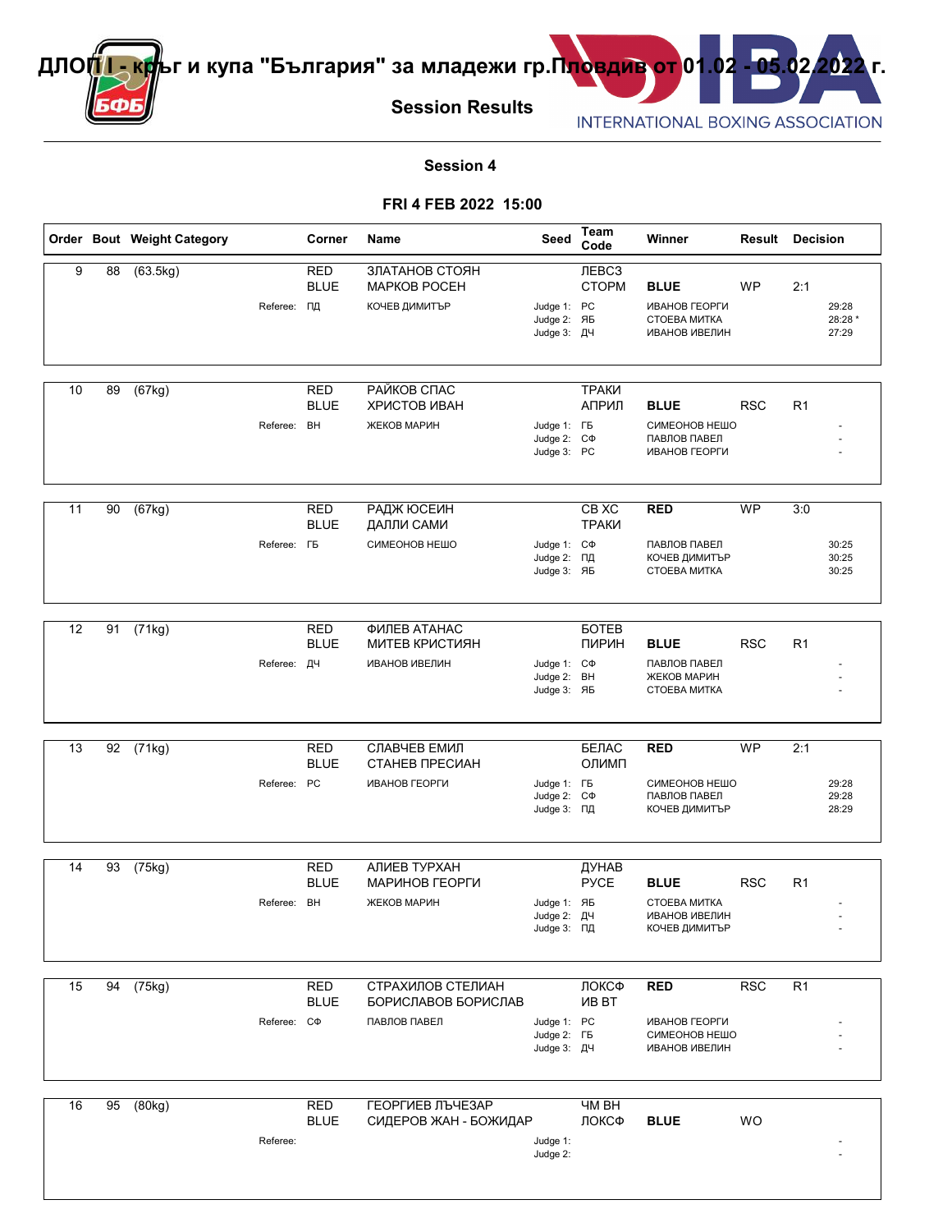

#### **FRI 4 FEB 2022 15:00**

|    |    | Order Bout Weight Category |                    | Corner                          | Name                                                     | Seed                                            | Team<br>Code                 | Winner                                                               | Result     | <b>Decision</b> |                           |
|----|----|----------------------------|--------------------|---------------------------------|----------------------------------------------------------|-------------------------------------------------|------------------------------|----------------------------------------------------------------------|------------|-----------------|---------------------------|
| 9  | 88 | (63.5kg)                   | Referee: ПД        | <b>RED</b><br><b>BLUE</b>       | ЗЛАТАНОВ СТОЯН<br><b>MAPKOB POCEH</b><br>КОЧЕВ ДИМИТЪР   | Judge 1: PC<br>Judge 2: ЯБ<br>Judge 3: ДЧ       | <b>ЛЕВСЗ</b><br><b>CTOPM</b> | <b>BLUE</b><br>ИВАНОВ ГЕОРГИ<br>CTOEBA MITKA<br><b>ИВАНОВ ИВЕЛИН</b> | <b>WP</b>  | 2:1             | 29:28<br>28:28 *<br>27:29 |
| 10 | 89 | (67kg)                     | Referee:           | <b>RED</b><br><b>BLUE</b><br>BH | РАЙКОВ СПАС<br>ХРИСТОВ ИВАН<br>ЖЕКОВ МАРИН               | Judge 1: FB<br>Judge 2: C $\Phi$<br>Judge 3: PC | <b>ТРАКИ</b><br>АПРИЛ        | <b>BLUE</b><br>СИМЕОНОВ НЕШО<br>ПАВЛОВ ПАВЕЛ<br>ИВАНОВ ГЕОРГИ        | <b>RSC</b> | R <sub>1</sub>  |                           |
| 11 | 90 | (67kg)                     | Referee: <b>FB</b> | <b>RED</b><br><b>BLUE</b>       | РАДЖ ЮСЕИН<br>ДАЛЛИ САМИ<br>СИМЕОНОВ НЕШО                | Judge 1: CΦ<br>Judge 2: ПД<br>Judge 3: ЯБ       | CB XC<br><b>ТРАКИ</b>        | <b>RED</b><br>ПАВЛОВ ПАВЕЛ<br>КОЧЕВ ДИМИТЪР<br>CTOEBA MITKA          | <b>WP</b>  | 3:0             | 30:25<br>30:25<br>30:25   |
| 12 | 91 | (71kg)                     | Referee: ДЧ        | <b>RED</b><br><b>BLUE</b>       | ФИЛЕВ АТАНАС<br>МИТЕВ КРИСТИЯН<br><b>ИВАНОВ ИВЕЛИН</b>   | Judge 1: C $\Phi$<br>Judge 2: BH<br>Judge 3: ЯБ | <b>GOTEB</b><br>ПИРИН        | <b>BLUE</b><br>ПАВЛОВ ПАВЕЛ<br>ЖЕКОВ МАРИН<br>CTOEBA MUTKA           | <b>RSC</b> | R <sub>1</sub>  |                           |
| 13 | 92 | (71kg)                     | Referee:           | <b>RED</b><br><b>BLUE</b><br>PC | СЛАВЧЕВ ЕМИЛ<br>СТАНЕВ ПРЕСИАН<br>ИВАНОВ ГЕОРГИ          | Judge 1: FB<br>Judge 2: C¢<br>Judge 3: ПД       | БЕЛАС<br>ОЛИМП               | <b>RED</b><br>СИМЕОНОВ НЕШО<br>ПАВЛОВ ПАВЕЛ<br>КОЧЕВ ДИМИТЪР         | <b>WP</b>  | 2:1             | 29:28<br>29:28<br>28:29   |
| 14 | 93 | (75kg)                     | Referee: BH        | <b>RED</b><br><b>BLUE</b>       | АЛИЕВ ТУРХАН<br>МАРИНОВ ГЕОРГИ<br>ЖЕКОВ МАРИН            | Judge 1: ЯБ<br>Judge 2: ДЧ<br>Judge 3: ПД       | ДУНАВ<br><b>PYCE</b>         | <b>BLUE</b><br>CTOEBA MITKA<br>ИВАНОВ ИВЕЛИН<br>КОЧЕВ ДИМИТЪР        | <b>RSC</b> | R <sub>1</sub>  |                           |
| 15 | 94 | (75kg)                     | Referee: CФ        | <b>RED</b><br><b>BLUE</b>       | СТРАХИЛОВ СТЕЛИАН<br>БОРИСЛАВОВ БОРИСЛАВ<br>ПАВЛОВ ПАВЕЛ | Judge 1: PC<br>Judge 2: FB<br>Judge 3: ДЧ       | ЛОКСФ<br><b>VIB BT</b>       | <b>RED</b><br>ИВАНОВ ГЕОРГИ<br>СИМЕОНОВ НЕШО<br><b>ИВАНОВ ИВЕЛИН</b> | RSC        | R <sub>1</sub>  |                           |
| 16 | 95 | (80kg)                     | Referee:           | <b>RED</b><br><b>BLUE</b>       | ГЕОРГИЕВ ЛЪЧЕЗАР<br>СИДЕРОВ ЖАН - БОЖИДАР                | Judge 1:<br>Judge 2:                            | <b>YM BH</b><br>ЛОКСФ        | <b>BLUE</b>                                                          | WO         |                 |                           |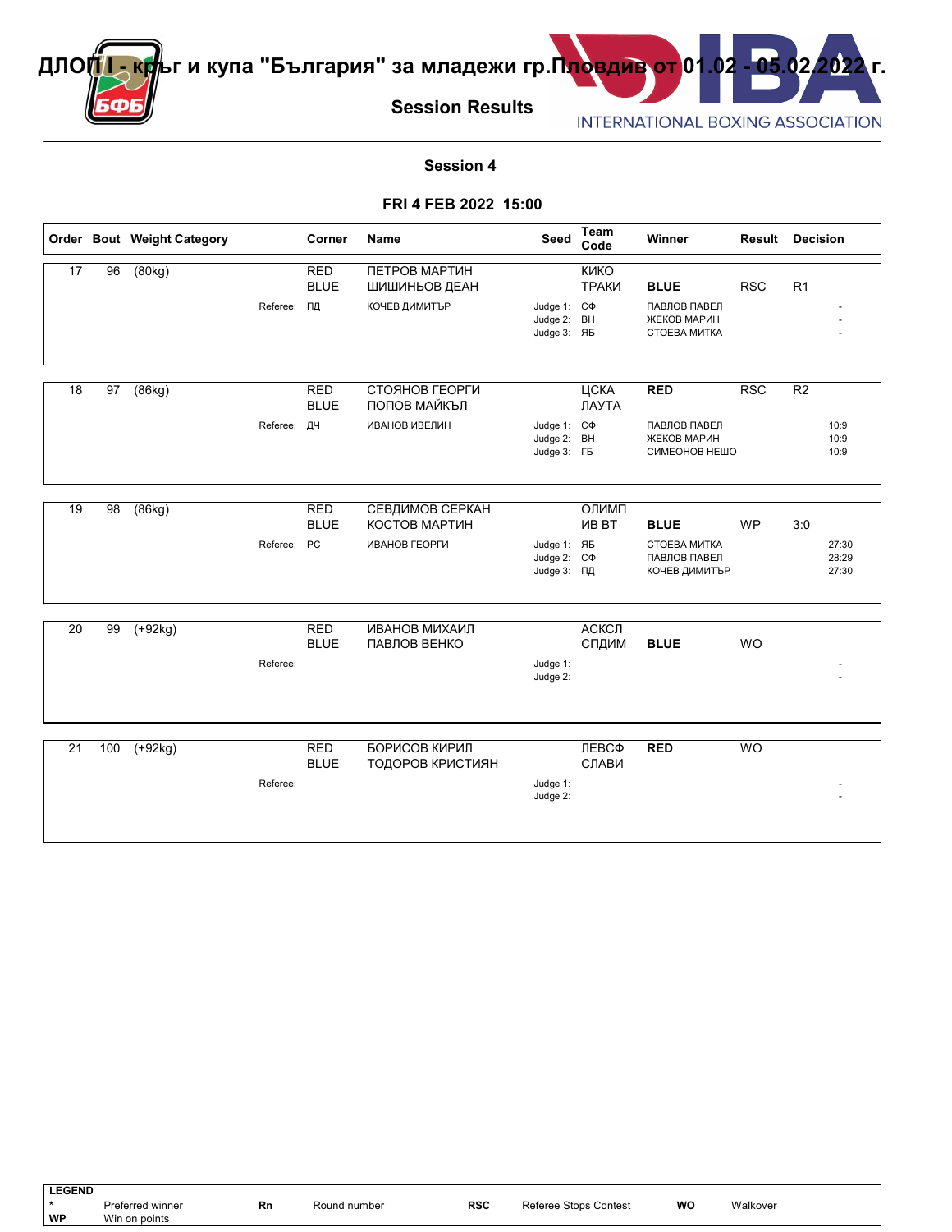

#### **FRI 4 FEB 2022 15:00**

|    |     | Order Bout Weight Category |             | Corner                    | Name                              | Seed                                            | <b>Team</b><br>Code         | Winner                                        |            | <b>Result Decision</b>  |
|----|-----|----------------------------|-------------|---------------------------|-----------------------------------|-------------------------------------------------|-----------------------------|-----------------------------------------------|------------|-------------------------|
| 17 | 96  | (80kg)                     |             | <b>RED</b><br><b>BLUE</b> | ПЕТРОВ МАРТИН<br>ШИШИНЬОВ ДЕАН    |                                                 | <b>KNKO</b><br><b>ТРАКИ</b> | <b>BLUE</b>                                   | <b>RSC</b> | R <sub>1</sub>          |
|    |     |                            | Referee: ПД |                           | КОЧЕВ ДИМИТЪР                     | Judge 1: C $\Phi$<br>Judge 2: BH<br>Judge 3: ЯБ |                             | ПАВЛОВ ПАВЕЛ<br>ЖЕКОВ МАРИН<br>CTOEBA MUTKA   |            |                         |
| 18 | 97  | (86kg)                     |             | <b>RED</b><br><b>BLUE</b> | СТОЯНОВ ГЕОРГИ<br>ПОПОВ МАЙКЪЛ    |                                                 | ЦСКА<br>ЛАУТА               | <b>RED</b>                                    | <b>RSC</b> | R2                      |
|    |     |                            | Referee: ДЧ |                           | <b>ИВАНОВ ИВЕЛИН</b>              | Judge 1: C $\Phi$<br>Judge 2: BH<br>Judge 3: FB |                             | ПАВЛОВ ПАВЕЛ<br>ЖЕКОВ МАРИН<br>СИМЕОНОВ НЕШО  |            | 10:9<br>10:9<br>10:9    |
| 19 | 98  | (86kg)                     |             | <b>RED</b>                | СЕВДИМОВ СЕРКАН                   |                                                 | ОЛИМП                       |                                               |            |                         |
|    |     |                            |             | <b>BLUE</b>               | <b>КОСТОВ МАРТИН</b>              |                                                 | <b>VIB BT</b>               | <b>BLUE</b>                                   | <b>WP</b>  | 3:0                     |
|    |     |                            | Referee: PC |                           | ИВАНОВ ГЕОРГИ                     | Judge 1: ЯБ<br>Judge 2: C $\Phi$<br>Judge 3: ПД |                             | CTOEBA MUTKA<br>ПАВЛОВ ПАВЕЛ<br>КОЧЕВ ДИМИТЪР |            | 27:30<br>28:29<br>27:30 |
| 20 | 99  | $(+92kg)$                  |             | <b>RED</b>                | ИВАНОВ МИХАИЛ                     |                                                 | АСКСЛ                       |                                               |            |                         |
|    |     |                            |             | <b>BLUE</b>               | ПАВЛОВ ВЕНКО                      |                                                 | СПДИМ                       | <b>BLUE</b>                                   | <b>WO</b>  |                         |
|    |     |                            | Referee:    |                           |                                   | Judge 1:<br>Judge 2:                            |                             |                                               |            |                         |
|    |     |                            |             |                           |                                   |                                                 |                             |                                               |            |                         |
| 21 | 100 | $(+92kg)$                  |             | <b>RED</b><br><b>BLUE</b> | БОРИСОВ КИРИЛ<br>ТОДОРОВ КРИСТИЯН |                                                 | ЛЕВСФ<br>СЛАВИ              | <b>RED</b>                                    | <b>WO</b>  |                         |
|    |     |                            | Referee:    |                           |                                   | Judge 1:<br>Judge 2:                            |                             |                                               |            |                         |

**LEGEND**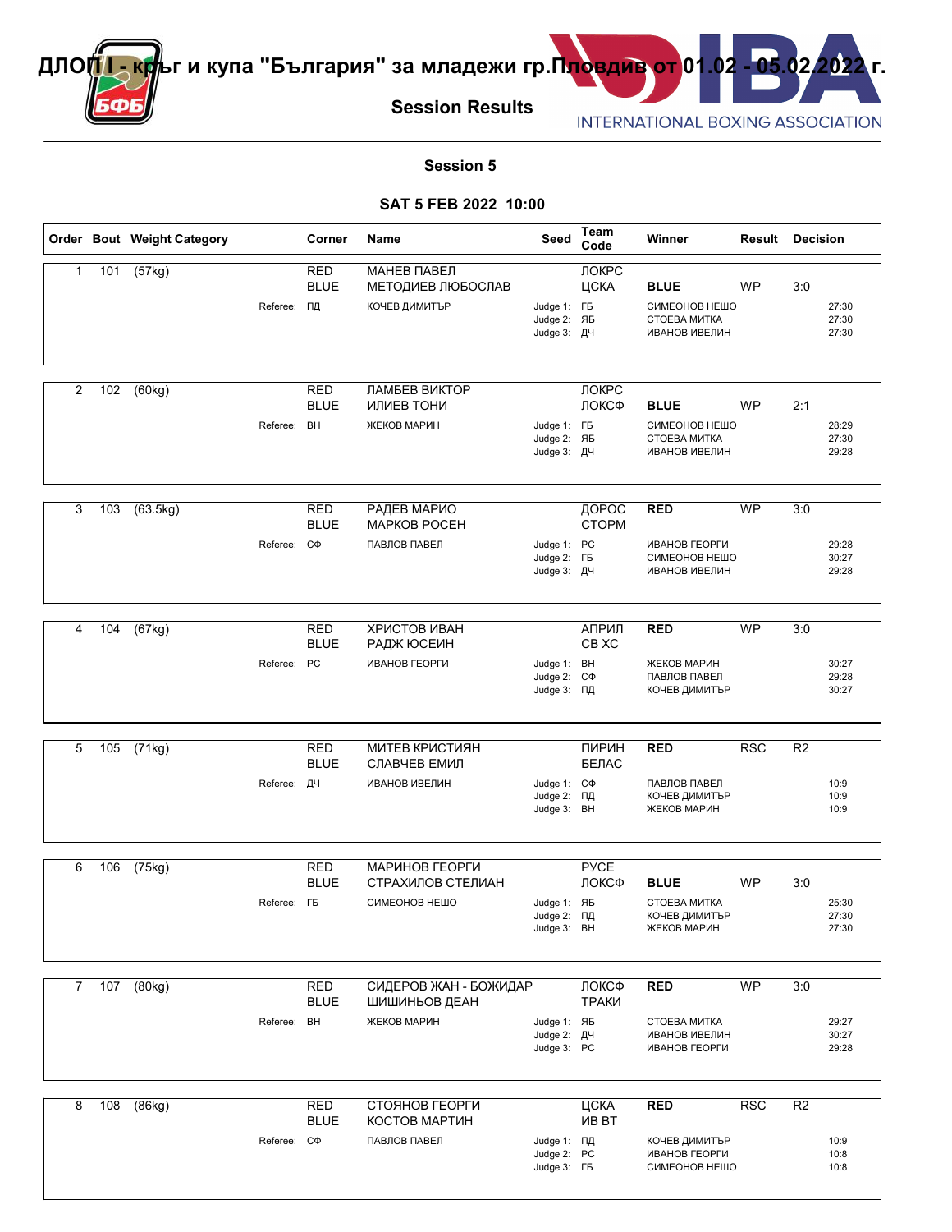

#### **SAT 5 FEB 2022 10:00**

|                |     | Order Bout Weight Category |                     | Corner                          | Name                                                          | Seed                                            | Team<br>Code          | Winner                                                               | Result     | <b>Decision</b> |                         |
|----------------|-----|----------------------------|---------------------|---------------------------------|---------------------------------------------------------------|-------------------------------------------------|-----------------------|----------------------------------------------------------------------|------------|-----------------|-------------------------|
| $\mathbf{1}$   | 101 | (57kg)                     | Referee: ПД         | <b>RED</b><br><b>BLUE</b>       | МАНЕВ ПАВЕЛ<br>МЕТОДИЕВ ЛЮБОСЛАВ<br>КОЧЕВ ДИМИТЪР             | Judge 1: FB<br>Judge 2: ЯБ<br>Judge 3: ДЧ       | ЛОКРС<br>ЦСКА         | <b>BLUE</b><br>СИМЕОНОВ НЕШО<br>CTOEBA MUTKA<br><b>ИВАНОВ ИВЕЛИН</b> | <b>WP</b>  | 3:0             | 27:30<br>27:30<br>27:30 |
| 2              | 102 | (60kg)                     | Referee:            | <b>RED</b><br><b>BLUE</b><br>BH | ЛАМБЕВ ВИКТОР<br>ИЛИЕВ ТОНИ<br>ЖЕКОВ МАРИН                    | Judge 1: FB<br>Judge 2: ЯБ<br>Judge 3: ДЧ       | ЛОКРС<br>ЛОКСФ        | <b>BLUE</b><br>СИМЕОНОВ НЕШО<br>СТОЕВА МИТКА<br>ИВАНОВ ИВЕЛИН        | WP         | 2:1             | 28:29<br>27:30<br>29:28 |
| 3              | 103 | (63.5kg)                   | Referee: C $\Phi$   | <b>RED</b><br><b>BLUE</b>       | РАДЕВ МАРИО<br>МАРКОВ РОСЕН<br>ПАВЛОВ ПАВЕЛ                   | Judge 1: PC<br>Judge 2: FB<br>Judge 3: ДЧ       | ДОРОС<br><b>CTOPM</b> | <b>RED</b><br>ИВАНОВ ГЕОРГИ<br>СИМЕОНОВ НЕШО<br><b>ИВАНОВ ИВЕЛИН</b> | <b>WP</b>  | 3:0             | 29:28<br>30:27<br>29:28 |
| 4              | 104 | (67kg)                     | Referee: PC         | <b>RED</b><br><b>BLUE</b>       | ХРИСТОВ ИВАН<br>РАДЖ ЮСЕИН<br>ИВАНОВ ГЕОРГИ                   | Judge 1: BH<br>Judge 2: C $\Phi$<br>Judge 3: ПД | АПРИЛ<br>CB XC        | <b>RED</b><br>ЖЕКОВ МАРИН<br>ПАВЛОВ ПАВЕЛ<br>КОЧЕВ ДИМИТЪР           | <b>WP</b>  | 3:0             | 30:27<br>29:28<br>30:27 |
| 5              | 105 | (71kg)                     | Referee: ДЧ         | <b>RED</b><br><b>BLUE</b>       | <b>МИТЕВ КРИСТИЯН</b><br>СЛАВЧЕВ ЕМИЛ<br><b>ИВАНОВ ИВЕЛИН</b> | Judge 1: C $\Phi$<br>Judge 2: ПД<br>Judge 3: BH | ПИРИН<br>БЕЛАС        | <b>RED</b><br>ПАВЛОВ ПАВЕЛ<br>КОЧЕВ ДИМИТЪР<br>ЖЕКОВ МАРИН           | <b>RSC</b> | R <sub>2</sub>  | 10:9<br>10:9<br>10:9    |
| 6              | 106 | (75kg)                     | Referee: <b>F</b> B | <b>RED</b><br>BLUE              | МАРИНОВ ГЕОРГИ<br>СТРАХИЛОВ СТЕЛИАН<br>СИМЕОНОВ НЕШО          | Judge 1: ЯБ<br>Judge 2: ПД<br>Judge 3: BH       | <b>PYCE</b><br>ЛОКСФ  | <b>BLUE</b><br>СТОЕВА МИТКА<br>КОЧЕВ ДИМИТЪР<br>ЖЕКОВ МАРИН          | <b>WP</b>  | 3:0             | 25:30<br>27:30<br>27:30 |
| $\overline{7}$ | 107 | (80kg)                     | Referee:            | <b>RED</b><br><b>BLUE</b><br>BH | СИДЕРОВ ЖАН - БОЖИДАР<br>ШИШИНЬОВ ДЕАН<br>ЖЕКОВ МАРИН         | Judge 1: ЯБ<br>Judge 2: ДЧ<br>Judge 3: PC       | ЛОКСФ<br><b>ТРАКИ</b> | <b>RED</b><br>СТОЕВА МИТКА<br><b>ИВАНОВ ИВЕЛИН</b><br>ИВАНОВ ГЕОРГИ  | <b>WP</b>  | 3:0             | 29:27<br>30:27<br>29:28 |
| 8              | 108 | (86kg)                     | Referee: C $\Phi$   | <b>RED</b><br><b>BLUE</b>       | СТОЯНОВ ГЕОРГИ<br>КОСТОВ МАРТИН<br>ПАВЛОВ ПАВЕЛ               | Judge 1: ПД<br>Judge 2: PC<br>Judge 3: FB       | ЦСКА<br><b>VIB BT</b> | RED<br>КОЧЕВ ДИМИТЪР<br>ИВАНОВ ГЕОРГИ<br>СИМЕОНОВ НЕШО               | <b>RSC</b> | R <sub>2</sub>  | 10:9<br>10:8<br>10:8    |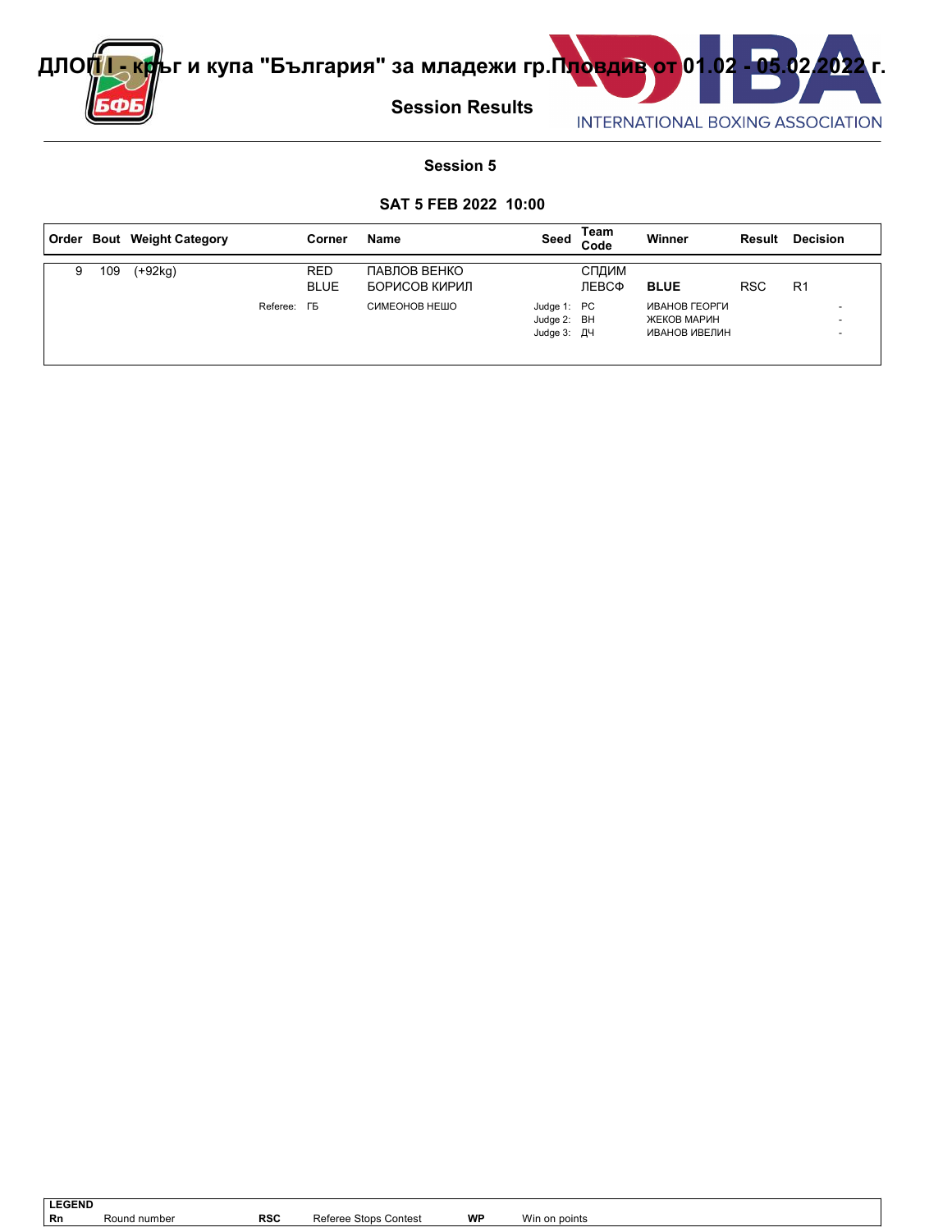

# **SAT 5 FEB 2022 10:00**

|     | Order Bout Weight Category |             | Corner                    | Name                          | Seed                                      | Team<br>Code   | Winner                                        | Result     | <b>Decision</b> |
|-----|----------------------------|-------------|---------------------------|-------------------------------|-------------------------------------------|----------------|-----------------------------------------------|------------|-----------------|
| 109 | (+92kg)                    |             | <b>RED</b><br><b>BLUE</b> | ПАВЛОВ ВЕНКО<br>БОРИСОВ КИРИЛ |                                           | СПДИМ<br>ЛЕВСФ | <b>BLUE</b>                                   | <b>RSC</b> | R <sub>1</sub>  |
|     |                            | Referee: FB |                           | СИМЕОНОВ НЕШО                 | Judge 1: PC<br>Judge 2: BH<br>Judge 3: ДЧ |                | ИВАНОВ ГЕОРГИ<br>ЖЕКОВ МАРИН<br>ИВАНОВ ИВЕЛИН |            |                 |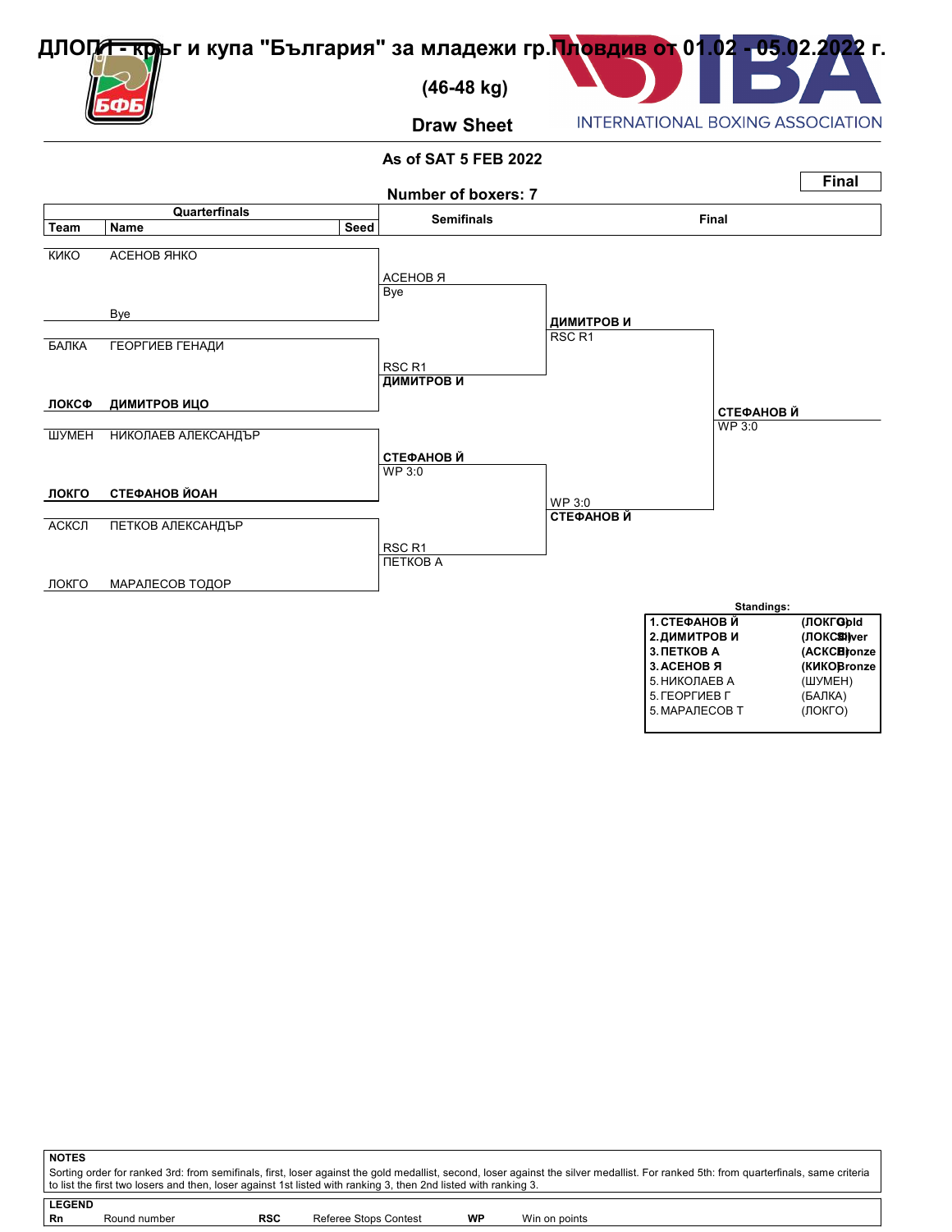

| 1. C I E PAHOB И | <b>UIOKI GDIA</b> |
|------------------|-------------------|
| 2. ДИМИТРОВ И    | (ЛОКСSDilver      |
| 3. ПЕТКОВ А      | (ACKCBronze       |
| 3. АСЕНОВ Я      | (KWKOBronze       |
| 5. НИКОЛАЕВ А    | (ШУМЕН)           |
| 5. ГЕОРГИЕВ Г    | (БАЛКА)           |
| 5. МАРАЛЕСОВ Т   | (ЛОКГО)           |
|                  |                   |

| <b>NOTES</b>  |              |            |                                                                                                                 |    |                                                                                                                                                                                       |
|---------------|--------------|------------|-----------------------------------------------------------------------------------------------------------------|----|---------------------------------------------------------------------------------------------------------------------------------------------------------------------------------------|
|               |              |            |                                                                                                                 |    | Sorting order for ranked 3rd: from semifinals, first, loser against the gold medallist, second, loser against the silver medallist. For ranked 5th: from quarterfinals, same criteria |
|               |              |            | to list the first two losers and then, loser against 1st listed with ranking 3, then 2nd listed with ranking 3. |    |                                                                                                                                                                                       |
| <b>LEGEND</b> |              |            |                                                                                                                 |    |                                                                                                                                                                                       |
| Rn            | Round number | <b>RSC</b> | Referee Stops Contest                                                                                           | WP | Win on points                                                                                                                                                                         |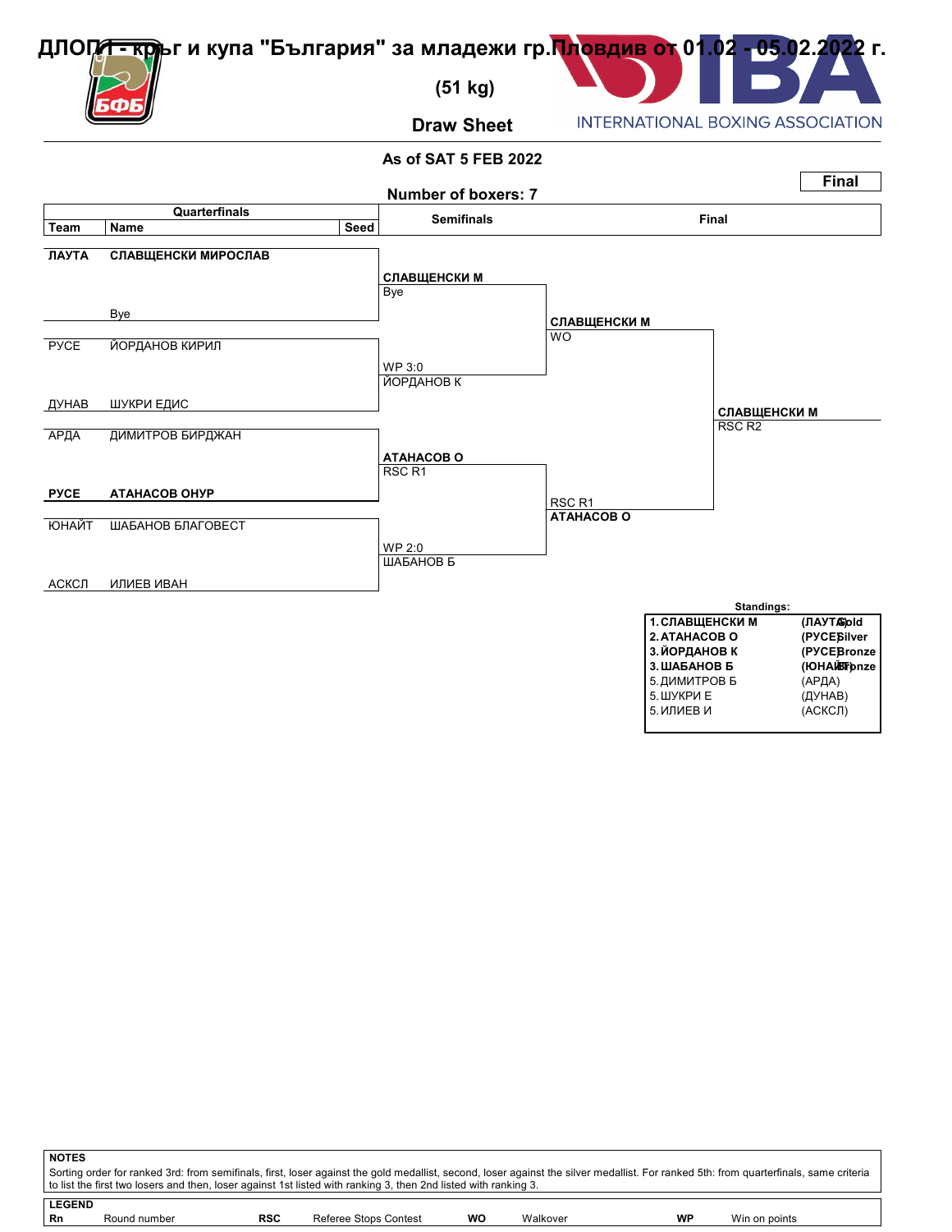

| <b>NOTES</b>  |                                                                                                                                                                                                                                                                                                          |            |                       |    |          |    |               |  |  |  |
|---------------|----------------------------------------------------------------------------------------------------------------------------------------------------------------------------------------------------------------------------------------------------------------------------------------------------------|------------|-----------------------|----|----------|----|---------------|--|--|--|
|               | Sorting order for ranked 3rd: from semifinals, first, loser against the gold medallist, second, loser against the silver medallist. For ranked 5th: from quarterfinals, same criteria<br>to list the first two losers and then, loser against 1st listed with ranking 3, then 2nd listed with ranking 3. |            |                       |    |          |    |               |  |  |  |
|               |                                                                                                                                                                                                                                                                                                          |            |                       |    |          |    |               |  |  |  |
| <b>LEGEND</b> |                                                                                                                                                                                                                                                                                                          |            |                       |    |          |    |               |  |  |  |
| Rn            | Round number                                                                                                                                                                                                                                                                                             | <b>RSC</b> | Referee Stops Contest | WO | Walkover | WP | Win on points |  |  |  |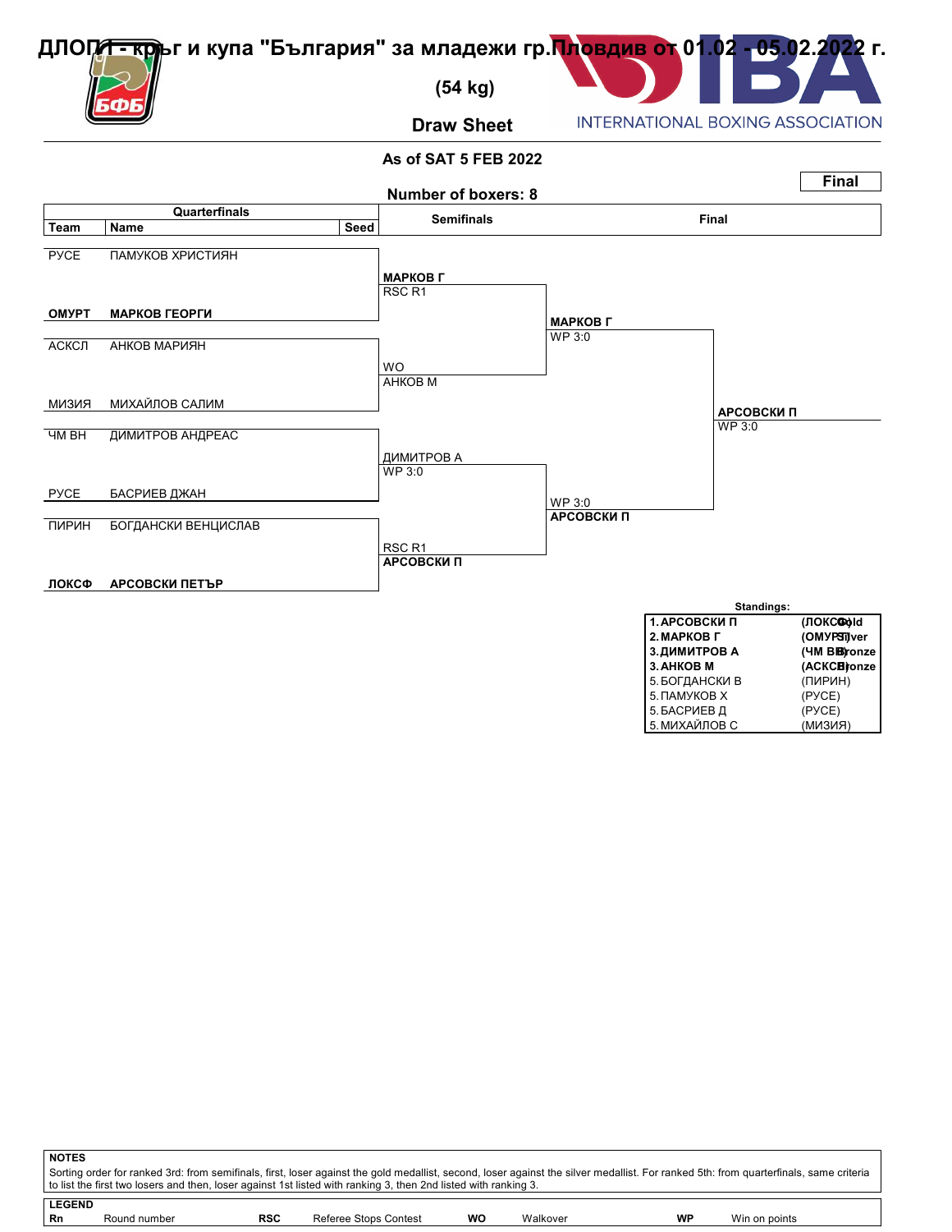

WP 3:0

**АРСОВСКИ П**

RSC R1

**АРСОВСКИ П**

РУСЕ БАСРИЕВ ДЖАН

**ЛОКСФ АРСОВСКИ ПЕТЪР**

ПИРИН БОГДАНСКИ ВЕНЦИСЛАВ

| Standings:     |                      |
|----------------|----------------------|
| 1. АРСОВСКИ П  | (ЛОКС <b>С</b> О) Id |
| 2. МАРКОВ Г    | (OMYPSTIver          |
| 3. ДИМИТРОВ А  | (4M BBronze          |
| 3. AHKOB M     | (ACKCBronze          |
| 5. БОГДАНСКИ В | (ПИРИН)              |
| 5. ПАМУКОВ Х   | (PYCE)               |
| 5. БАСРИЕВ Д   | (PYCE)               |
| 5. МИХАЙЛОВ С  | (RNENM)              |

| <b>NOTES</b>  |              |            |                                                                                                                 |           |          |    |                                                                                                                                                                                       |  |
|---------------|--------------|------------|-----------------------------------------------------------------------------------------------------------------|-----------|----------|----|---------------------------------------------------------------------------------------------------------------------------------------------------------------------------------------|--|
|               |              |            |                                                                                                                 |           |          |    | Sorting order for ranked 3rd: from semifinals, first, loser against the gold medallist, second, loser against the silver medallist. For ranked 5th: from quarterfinals, same criteria |  |
|               |              |            | to list the first two losers and then, loser against 1st listed with ranking 3, then 2nd listed with ranking 3. |           |          |    |                                                                                                                                                                                       |  |
|               |              |            |                                                                                                                 |           |          |    |                                                                                                                                                                                       |  |
| <b>LEGEND</b> |              |            |                                                                                                                 |           |          |    |                                                                                                                                                                                       |  |
| - Rn          | Round number | <b>RSC</b> | Referee Stops Contest                                                                                           | <b>WO</b> | Walkover | WP | Win on points                                                                                                                                                                         |  |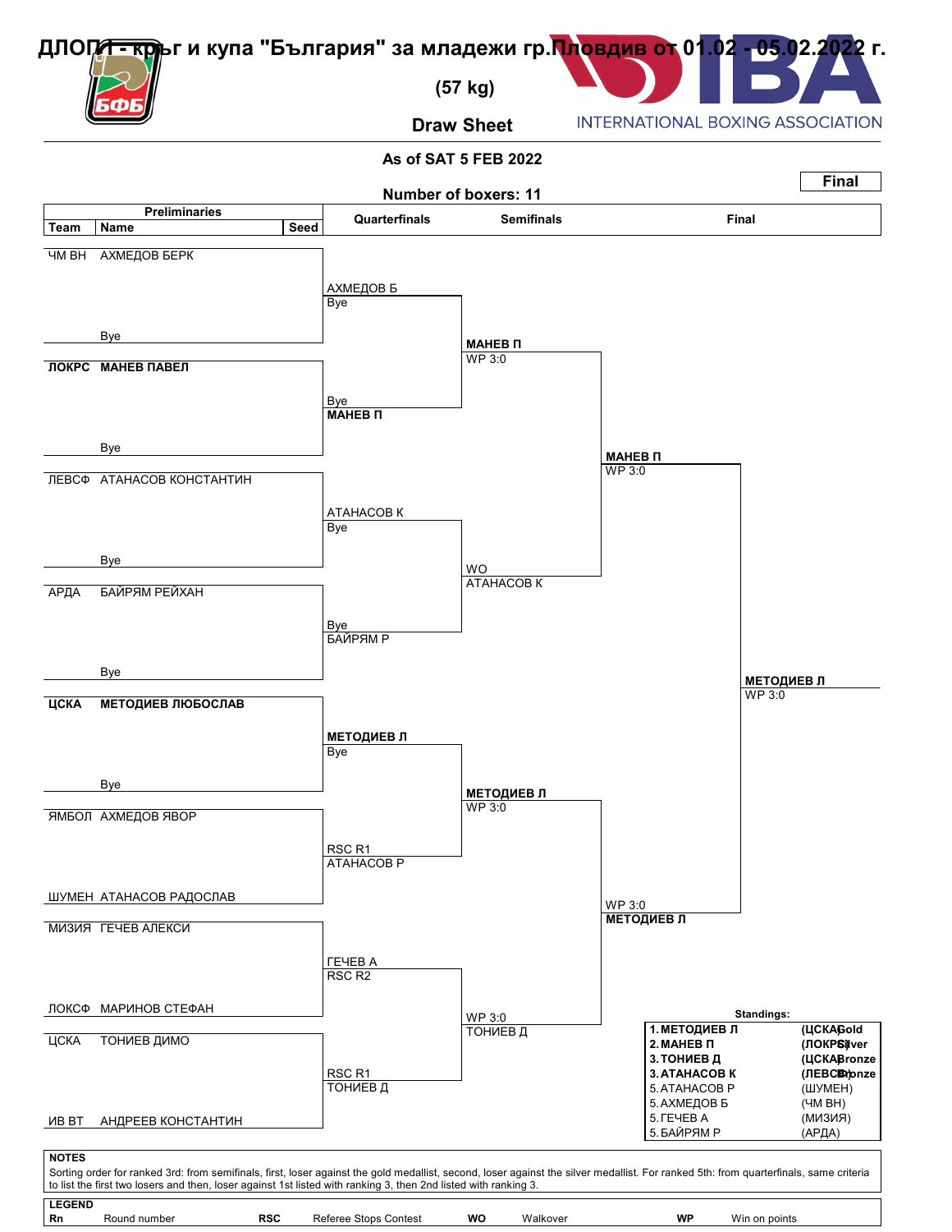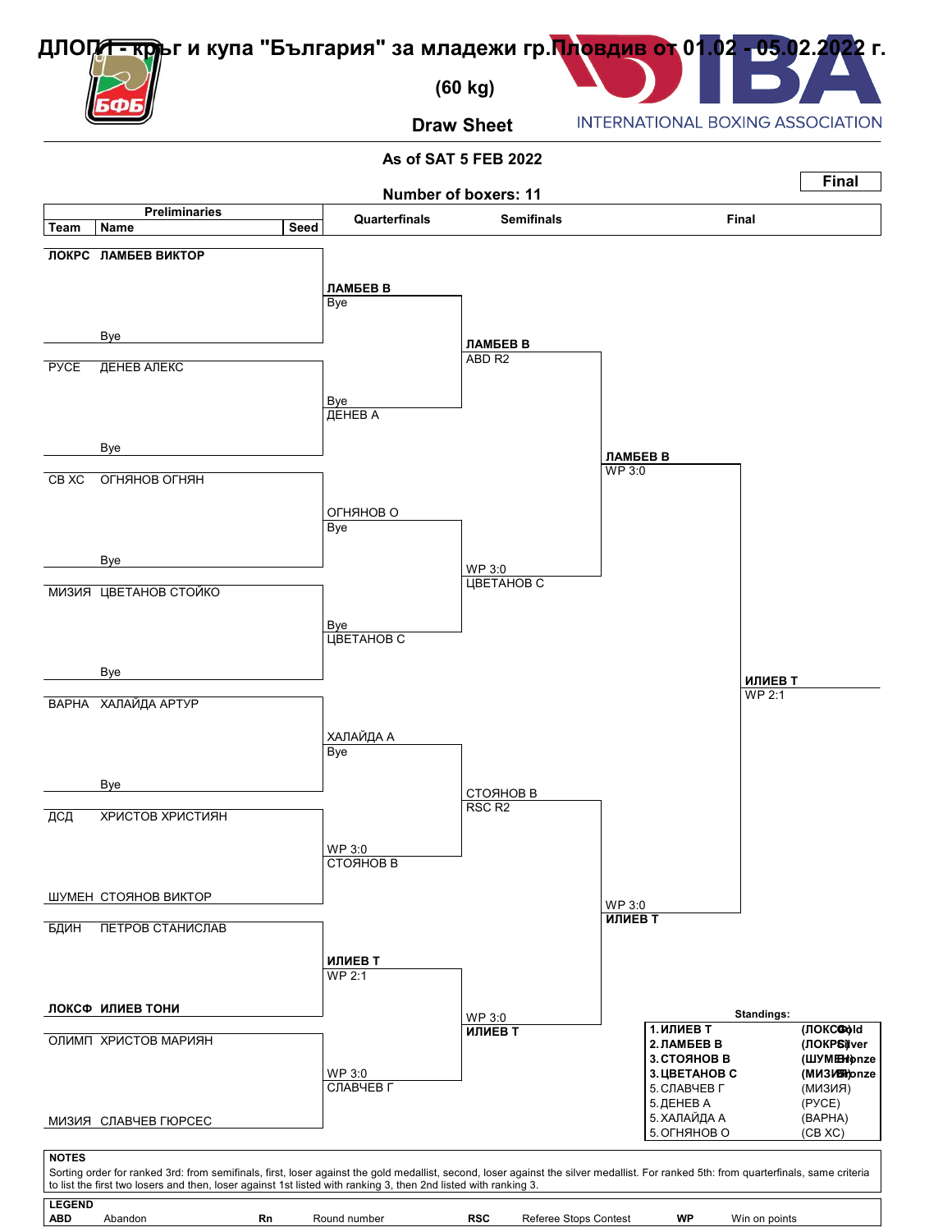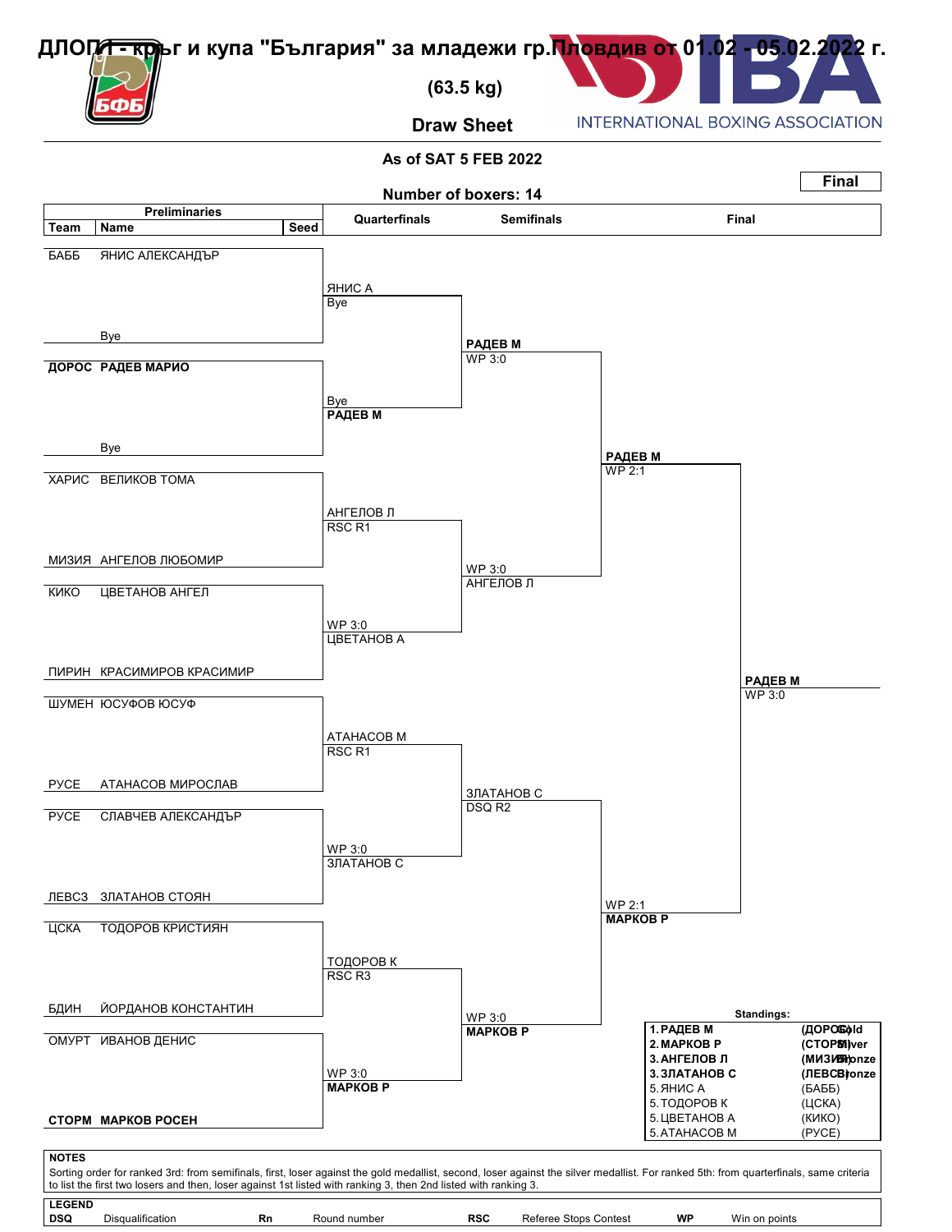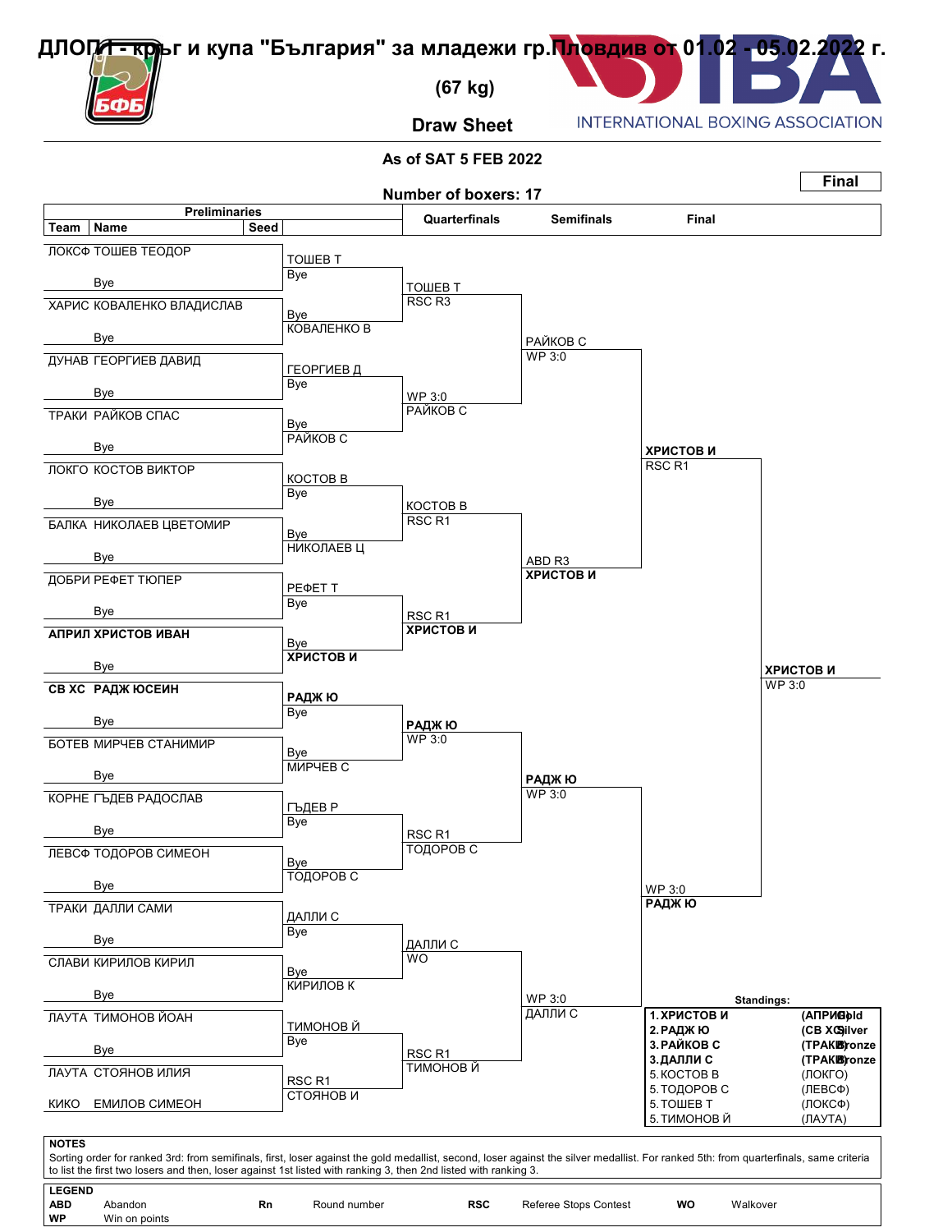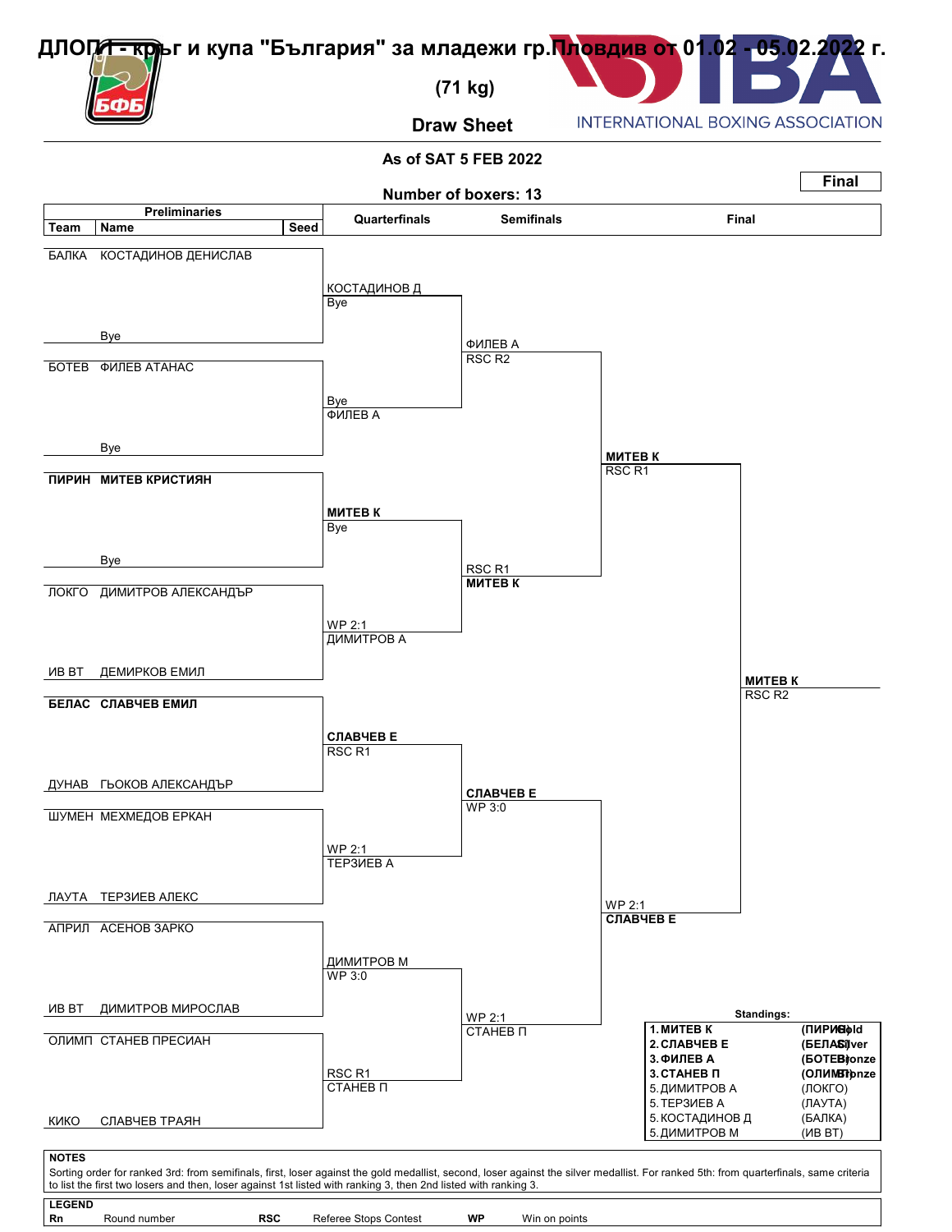

|  | Rn | Round number | RSC | Referee Stops Contest | WP | Win on points |
|--|----|--------------|-----|-----------------------|----|---------------|
|--|----|--------------|-----|-----------------------|----|---------------|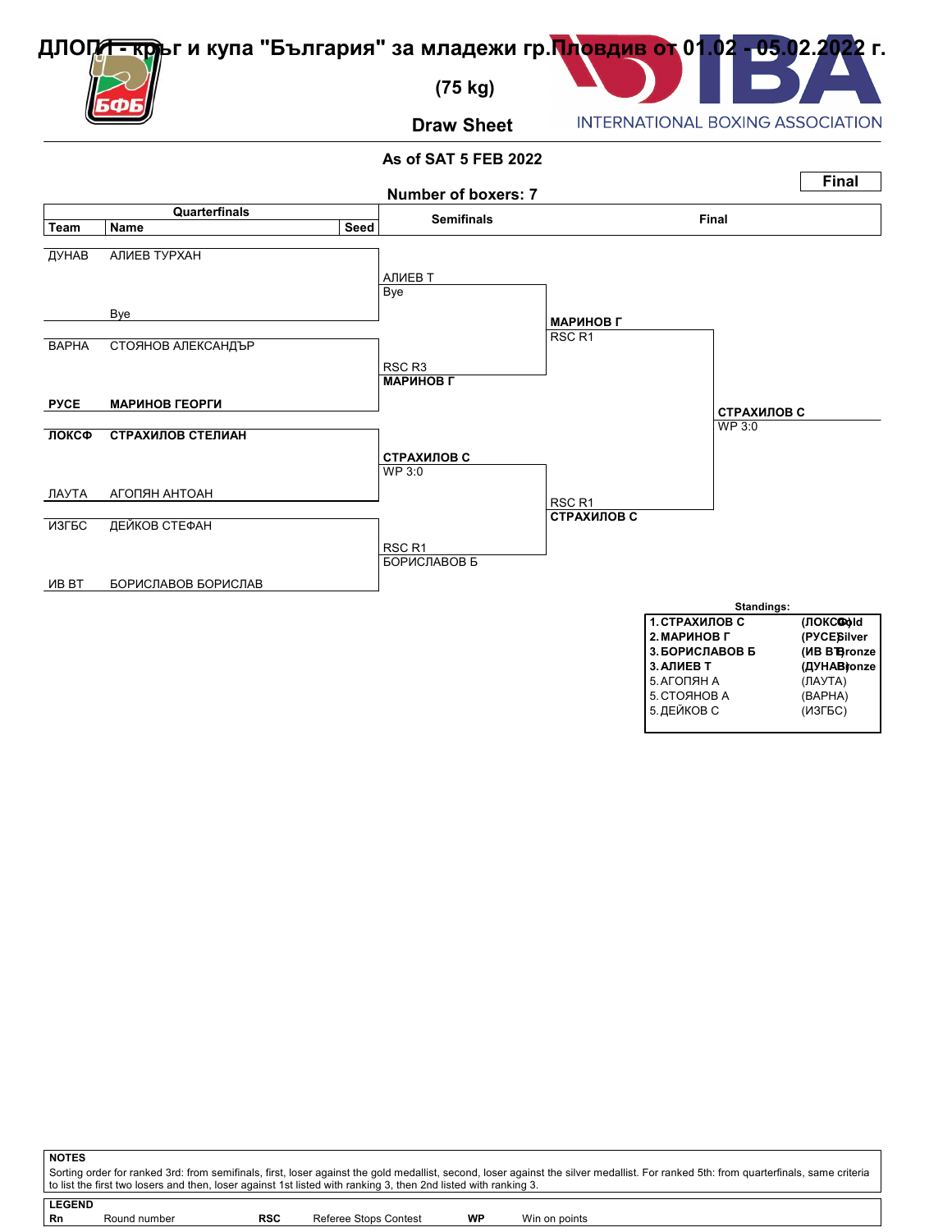

| 1. СТРАХИЛОВ С  | (JIOKCGO)Id                 |
|-----------------|-----------------------------|
| 2. МАРИНОВ Г    | (PYCESilver                 |
| 3. БОРИСЛАВОВ Б | ( <i><b>UB B</b></i> Bronze |
| 3. АЛИЕВ Т      | (ДУНАВіюпzе                 |
| 5. АГОПЯН А     | (ЛАУТА)                     |
| 5. СТОЯНОВ А    | (BAPHA)                     |
| 5. ДЕЙКОВ С     | (ИЗГБС)                     |
|                 |                             |

| <b>NOTES</b>  |              |     |                                                                                                                   |    |                                                                                                                                                                                       |  |
|---------------|--------------|-----|-------------------------------------------------------------------------------------------------------------------|----|---------------------------------------------------------------------------------------------------------------------------------------------------------------------------------------|--|
|               |              |     |                                                                                                                   |    | Sorting order for ranked 3rd: from semifinals, first, loser against the gold medallist, second, loser against the silver medallist. For ranked 5th: from quarterfinals, same criteria |  |
|               |              |     | l to list the first two losers and then, loser against 1st listed with ranking 3, then 2nd listed with ranking 3. |    |                                                                                                                                                                                       |  |
|               |              |     |                                                                                                                   |    |                                                                                                                                                                                       |  |
| <b>LEGEND</b> |              |     |                                                                                                                   |    |                                                                                                                                                                                       |  |
| Rn            | Round number | RSC | Referee Stops Contest                                                                                             | WP | Win on points                                                                                                                                                                         |  |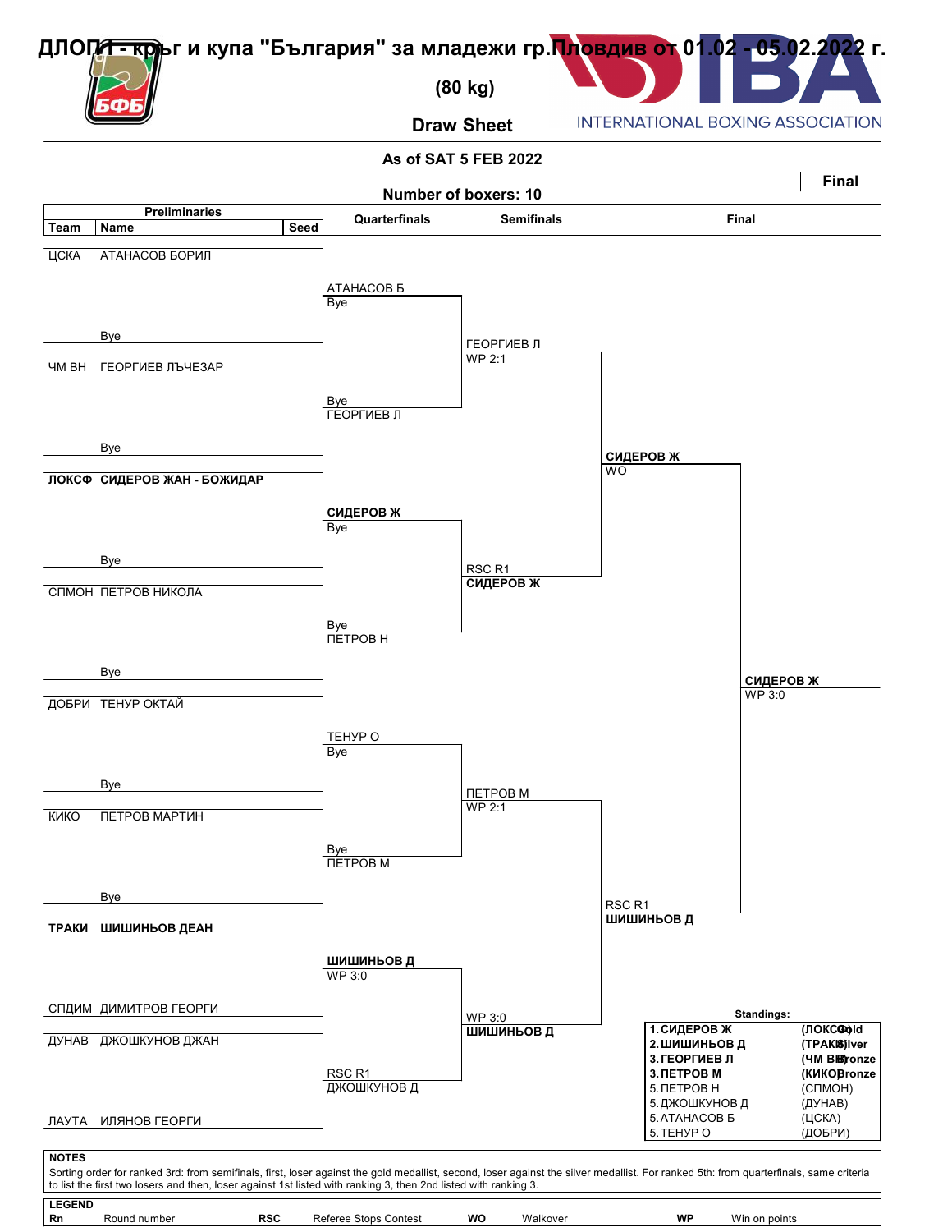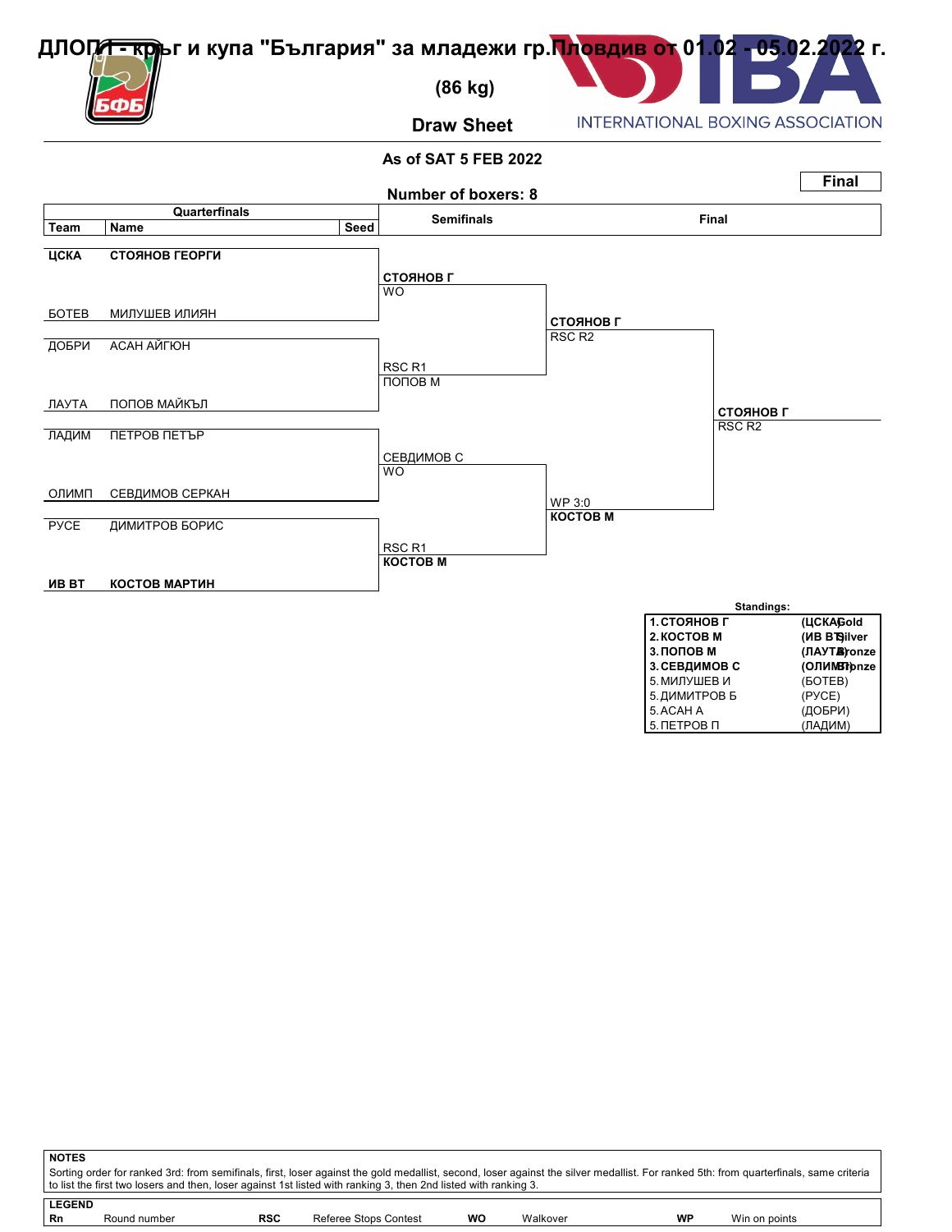

WO

СЕВДИМОВ С

WP 3:0

**КОСТОВ М**

RSC R2

**СТОЯНОВ Г**

**Standings: 1.СТОЯНОВ Г (ЦСКА)Gold**<br>2.КОСТОВ М (ИВ В Б) (ИВ

5. МИЛУШЕВ И (БОТЕВ)<br>5. ДИМИТРОВ Б (РУСЕ)

5.ПЕТРОВ П (ЛАДИМ)

**(ЛАУТВ) ronze**<br>(ОЛИМВТриде

(ДОБРИ)

**2. КОСТОВ М<br>3. ПОПОВ М** 

**3. СЕВДИМОВ С** 

5. ДИМИТРОВ Б<br>5. АСАН А

RSC R1

**КОСТОВ М**

ЛАУТА ПОПОВ МАЙКЪЛ

ЛАДИМ ПЕТРОВ ПЕТЪР

ОЛИМП СЕВДИМОВ СЕРКАН

РУСЕ ДИМИТРОВ БОРИС

**ИВ ВТ КОСТОВ МАРТИН**

| <b>NOTES</b><br>Sorting order for ranked 3rd: from semifinals, first, loser against the gold medallist, second, loser against the silver medallist. For ranked 5th: from quarterfinals, same criteria |              |            |                       |    |          |    |               |  |
|-------------------------------------------------------------------------------------------------------------------------------------------------------------------------------------------------------|--------------|------------|-----------------------|----|----------|----|---------------|--|
| to list the first two losers and then, loser against 1st listed with ranking 3, then 2nd listed with ranking 3.                                                                                       |              |            |                       |    |          |    |               |  |
| <b>LEGEND</b>                                                                                                                                                                                         |              |            |                       |    |          |    |               |  |
| Rn                                                                                                                                                                                                    | Round number | <b>RSC</b> | Referee Stops Contest | wo | Walkover | WP | Win on points |  |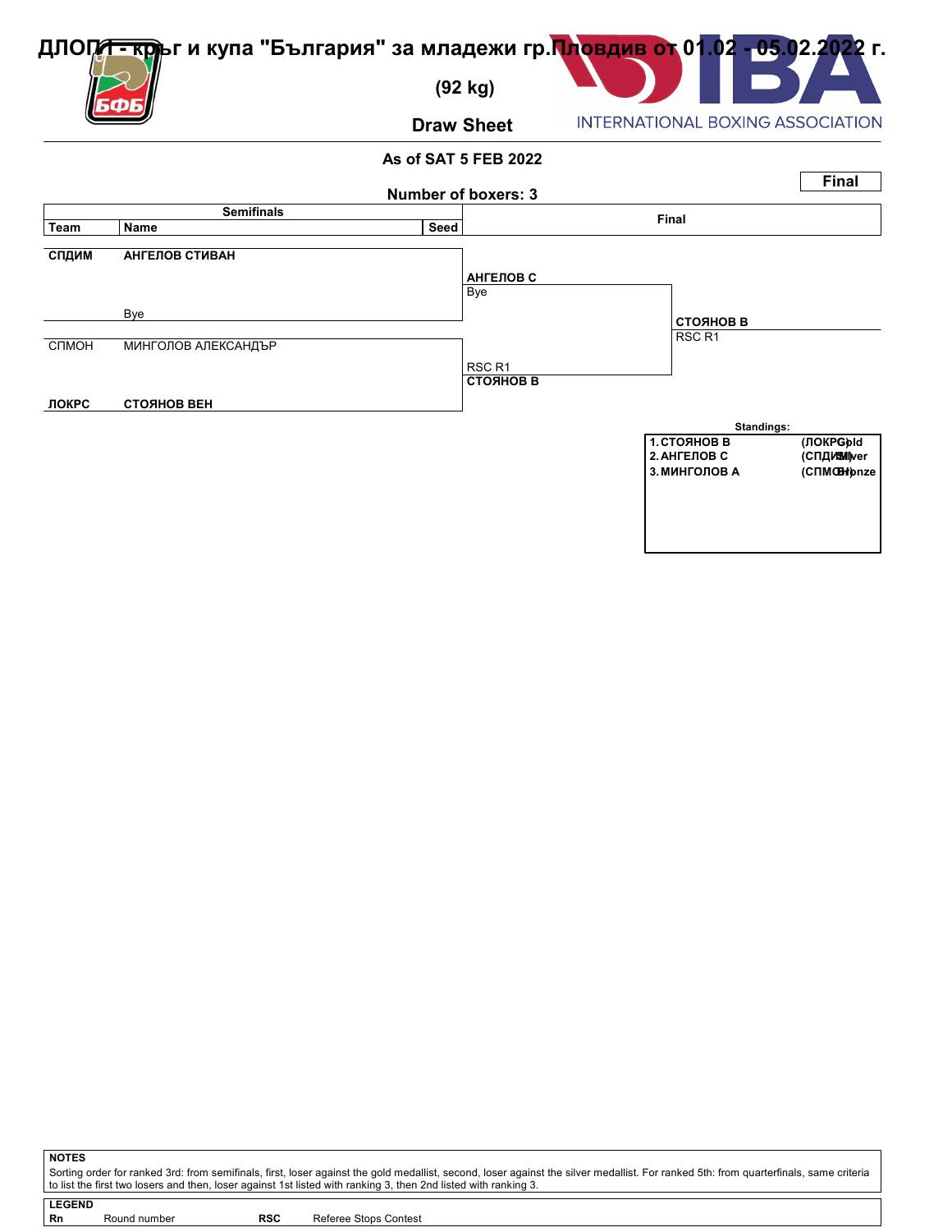

**NOTES**

Sorting order for ranked 3rd: from semifinals, first, loser against the gold medallist, second, loser against the silver medallist. For ranked 5th: from quarterfinals, same criteria<br>to list the first two losers and then, l